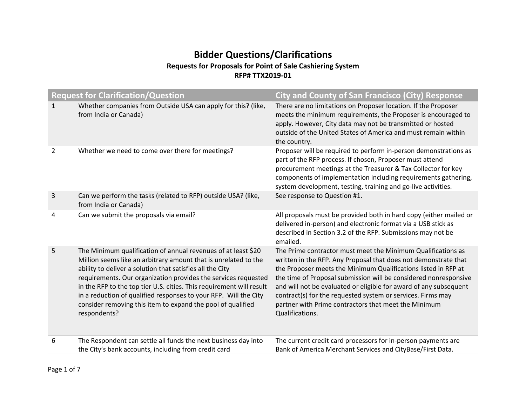# **Bidder Questions/Clarifications Requests for Proposals for Point of Sale Cashiering System RFP# TTX2019‐01**

|              | <b>Request for Clarification/Question</b>                                                                                                                                                                                                                                                                                                                                                                                                                                                  | <b>City and County of San Francisco (City) Response</b>                                                                                                                                                                                                                                                                                                                                                                                                                              |
|--------------|--------------------------------------------------------------------------------------------------------------------------------------------------------------------------------------------------------------------------------------------------------------------------------------------------------------------------------------------------------------------------------------------------------------------------------------------------------------------------------------------|--------------------------------------------------------------------------------------------------------------------------------------------------------------------------------------------------------------------------------------------------------------------------------------------------------------------------------------------------------------------------------------------------------------------------------------------------------------------------------------|
| $\mathbf{1}$ | Whether companies from Outside USA can apply for this? (like,<br>from India or Canada)                                                                                                                                                                                                                                                                                                                                                                                                     | There are no limitations on Proposer location. If the Proposer<br>meets the minimum requirements, the Proposer is encouraged to<br>apply. However, City data may not be transmitted or hosted<br>outside of the United States of America and must remain within<br>the country.                                                                                                                                                                                                      |
| 2            | Whether we need to come over there for meetings?                                                                                                                                                                                                                                                                                                                                                                                                                                           | Proposer will be required to perform in-person demonstrations as<br>part of the RFP process. If chosen, Proposer must attend<br>procurement meetings at the Treasurer & Tax Collector for key<br>components of implementation including requirements gathering,<br>system development, testing, training and go-live activities.                                                                                                                                                     |
| 3            | Can we perform the tasks (related to RFP) outside USA? (like,<br>from India or Canada)                                                                                                                                                                                                                                                                                                                                                                                                     | See response to Question #1.                                                                                                                                                                                                                                                                                                                                                                                                                                                         |
| 4            | Can we submit the proposals via email?                                                                                                                                                                                                                                                                                                                                                                                                                                                     | All proposals must be provided both in hard copy (either mailed or<br>delivered in-person) and electronic format via a USB stick as<br>described in Section 3.2 of the RFP. Submissions may not be<br>emailed.                                                                                                                                                                                                                                                                       |
| 5            | The Minimum qualification of annual revenues of at least \$20<br>Million seems like an arbitrary amount that is unrelated to the<br>ability to deliver a solution that satisfies all the City<br>requirements. Our organization provides the services requested<br>in the RFP to the top tier U.S. cities. This requirement will result<br>in a reduction of qualified responses to your RFP. Will the City<br>consider removing this item to expand the pool of qualified<br>respondents? | The Prime contractor must meet the Minimum Qualifications as<br>written in the RFP. Any Proposal that does not demonstrate that<br>the Proposer meets the Minimum Qualifications listed in RFP at<br>the time of Proposal submission will be considered nonresponsive<br>and will not be evaluated or eligible for award of any subsequent<br>contract(s) for the requested system or services. Firms may<br>partner with Prime contractors that meet the Minimum<br>Qualifications. |
| 6            | The Respondent can settle all funds the next business day into<br>the City's bank accounts, including from credit card                                                                                                                                                                                                                                                                                                                                                                     | The current credit card processors for in-person payments are<br>Bank of America Merchant Services and CityBase/First Data.                                                                                                                                                                                                                                                                                                                                                          |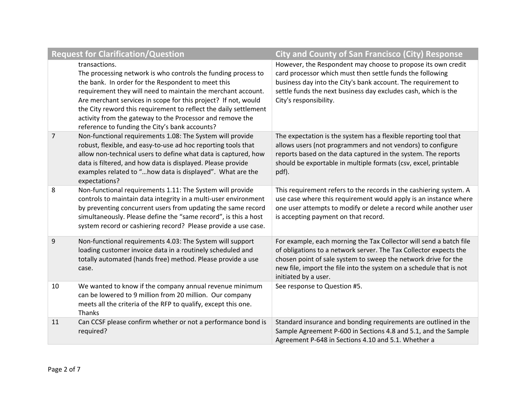|                | <b>Request for Clarification/Question</b>                                                                                                                                                                                                                                                                                                                                                                                                                 | <b>City and County of San Francisco (City) Response</b>                                                                                                                                                                                                                                                  |
|----------------|-----------------------------------------------------------------------------------------------------------------------------------------------------------------------------------------------------------------------------------------------------------------------------------------------------------------------------------------------------------------------------------------------------------------------------------------------------------|----------------------------------------------------------------------------------------------------------------------------------------------------------------------------------------------------------------------------------------------------------------------------------------------------------|
|                | transactions.<br>The processing network is who controls the funding process to<br>the bank. In order for the Respondent to meet this<br>requirement they will need to maintain the merchant account.<br>Are merchant services in scope for this project? If not, would<br>the City reword this requirement to reflect the daily settlement<br>activity from the gateway to the Processor and remove the<br>reference to funding the City's bank accounts? | However, the Respondent may choose to propose its own credit<br>card processor which must then settle funds the following<br>business day into the City's bank account. The requirement to<br>settle funds the next business day excludes cash, which is the<br>City's responsibility.                   |
| $\overline{7}$ | Non-functional requirements 1.08: The System will provide<br>robust, flexible, and easy-to-use ad hoc reporting tools that<br>allow non-technical users to define what data is captured, how<br>data is filtered, and how data is displayed. Please provide<br>examples related to "how data is displayed". What are the<br>expectations?                                                                                                                 | The expectation is the system has a flexible reporting tool that<br>allows users (not programmers and not vendors) to configure<br>reports based on the data captured in the system. The reports<br>should be exportable in multiple formats (csv, excel, printable<br>pdf).                             |
| 8              | Non-functional requirements 1.11: The System will provide<br>controls to maintain data integrity in a multi-user environment<br>by preventing concurrent users from updating the same record<br>simultaneously. Please define the "same record", is this a host<br>system record or cashiering record? Please provide a use case.                                                                                                                         | This requirement refers to the records in the cashiering system. A<br>use case where this requirement would apply is an instance where<br>one user attempts to modify or delete a record while another user<br>is accepting payment on that record.                                                      |
| 9              | Non-functional requirements 4.03: The System will support<br>loading customer invoice data in a routinely scheduled and<br>totally automated (hands free) method. Please provide a use<br>case.                                                                                                                                                                                                                                                           | For example, each morning the Tax Collector will send a batch file<br>of obligations to a network server. The Tax Collector expects the<br>chosen point of sale system to sweep the network drive for the<br>new file, import the file into the system on a schedule that is not<br>initiated by a user. |
| 10             | We wanted to know if the company annual revenue minimum<br>can be lowered to 9 million from 20 million. Our company<br>meets all the criteria of the RFP to qualify, except this one.<br><b>Thanks</b>                                                                                                                                                                                                                                                    | See response to Question #5.                                                                                                                                                                                                                                                                             |
| 11             | Can CCSF please confirm whether or not a performance bond is<br>required?                                                                                                                                                                                                                                                                                                                                                                                 | Standard insurance and bonding requirements are outlined in the<br>Sample Agreement P-600 in Sections 4.8 and 5.1, and the Sample<br>Agreement P-648 in Sections 4.10 and 5.1. Whether a                                                                                                                 |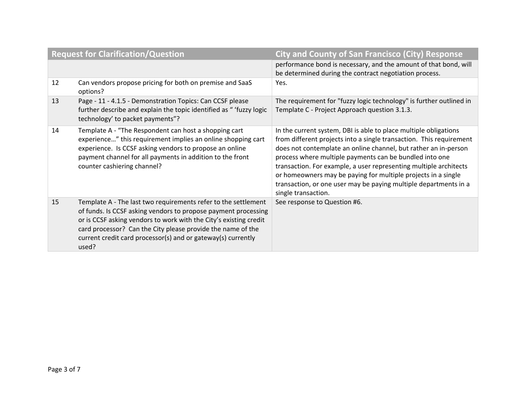| <b>Request for Clarification/Question</b> |                                                                                                                                                                                                                                                                                                                                               | <b>City and County of San Francisco (City) Response</b>                                                                                                                                                                                                                                                                                                                                                                                                                                                |
|-------------------------------------------|-----------------------------------------------------------------------------------------------------------------------------------------------------------------------------------------------------------------------------------------------------------------------------------------------------------------------------------------------|--------------------------------------------------------------------------------------------------------------------------------------------------------------------------------------------------------------------------------------------------------------------------------------------------------------------------------------------------------------------------------------------------------------------------------------------------------------------------------------------------------|
|                                           |                                                                                                                                                                                                                                                                                                                                               | performance bond is necessary, and the amount of that bond, will<br>be determined during the contract negotiation process.                                                                                                                                                                                                                                                                                                                                                                             |
| 12                                        | Can vendors propose pricing for both on premise and SaaS<br>options?                                                                                                                                                                                                                                                                          | Yes.                                                                                                                                                                                                                                                                                                                                                                                                                                                                                                   |
| 13                                        | Page - 11 - 4.1.5 - Demonstration Topics: Can CCSF please<br>further describe and explain the topic identified as " 'fuzzy logic<br>technology' to packet payments"?                                                                                                                                                                          | The requirement for "fuzzy logic technology" is further outlined in<br>Template C - Project Approach question 3.1.3.                                                                                                                                                                                                                                                                                                                                                                                   |
| 14                                        | Template A - "The Respondent can host a shopping cart<br>experience" this requirement implies an online shopping cart<br>experience. Is CCSF asking vendors to propose an online<br>payment channel for all payments in addition to the front<br>counter cashiering channel?                                                                  | In the current system, DBI is able to place multiple obligations<br>from different projects into a single transaction. This requirement<br>does not contemplate an online channel, but rather an in-person<br>process where multiple payments can be bundled into one<br>transaction. For example, a user representing multiple architects<br>or homeowners may be paying for multiple projects in a single<br>transaction, or one user may be paying multiple departments in a<br>single transaction. |
| 15                                        | Template A - The last two requirements refer to the settlement<br>of funds. Is CCSF asking vendors to propose payment processing<br>or is CCSF asking vendors to work with the City's existing credit<br>card processor? Can the City please provide the name of the<br>current credit card processor(s) and or gateway(s) currently<br>used? | See response to Question #6.                                                                                                                                                                                                                                                                                                                                                                                                                                                                           |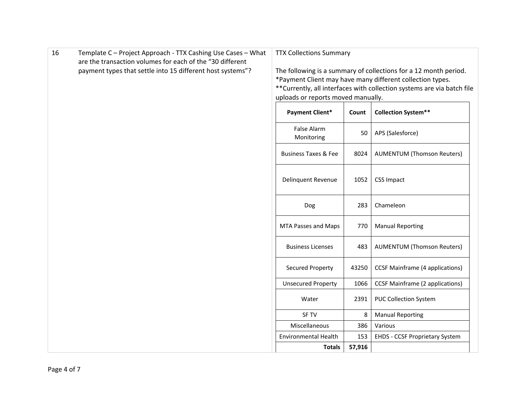| 16 | Template C - Project Approach - TTX Cashing Use Cases - What                                                            | <b>TTX Collections Summary</b>                                |                                                                                                                                                                                                                                                |                                        |  |  |  |  |
|----|-------------------------------------------------------------------------------------------------------------------------|---------------------------------------------------------------|------------------------------------------------------------------------------------------------------------------------------------------------------------------------------------------------------------------------------------------------|----------------------------------------|--|--|--|--|
|    | are the transaction volumes for each of the "30 different<br>payment types that settle into 15 different host systems"? |                                                               | The following is a summary of collections for a 12 month period.<br>*Payment Client may have many different collection types.<br>** Currently, all interfaces with collection systems are via batch file<br>uploads or reports moved manually. |                                        |  |  |  |  |
|    |                                                                                                                         | <b>Collection System**</b><br><b>Payment Client*</b><br>Count |                                                                                                                                                                                                                                                |                                        |  |  |  |  |
|    |                                                                                                                         | False Alarm<br>Monitoring                                     | 50                                                                                                                                                                                                                                             | APS (Salesforce)                       |  |  |  |  |
|    |                                                                                                                         | <b>Business Taxes &amp; Fee</b>                               | 8024                                                                                                                                                                                                                                           | <b>AUMENTUM (Thomson Reuters)</b>      |  |  |  |  |
|    |                                                                                                                         | Delinquent Revenue                                            | 1052                                                                                                                                                                                                                                           | <b>CSS Impact</b>                      |  |  |  |  |
|    |                                                                                                                         | Dog                                                           | 283                                                                                                                                                                                                                                            | Chameleon                              |  |  |  |  |
|    |                                                                                                                         | MTA Passes and Maps                                           | 770                                                                                                                                                                                                                                            | <b>Manual Reporting</b>                |  |  |  |  |
|    |                                                                                                                         | <b>Business Licenses</b>                                      | 483                                                                                                                                                                                                                                            | <b>AUMENTUM (Thomson Reuters)</b>      |  |  |  |  |
|    |                                                                                                                         | <b>Secured Property</b>                                       | 43250                                                                                                                                                                                                                                          | <b>CCSF Mainframe (4 applications)</b> |  |  |  |  |
|    |                                                                                                                         | <b>Unsecured Property</b>                                     | 1066                                                                                                                                                                                                                                           | <b>CCSF Mainframe (2 applications)</b> |  |  |  |  |
|    |                                                                                                                         | Water                                                         | 2391                                                                                                                                                                                                                                           | <b>PUC Collection System</b>           |  |  |  |  |
|    |                                                                                                                         | <b>SF TV</b>                                                  | 8                                                                                                                                                                                                                                              | <b>Manual Reporting</b>                |  |  |  |  |
|    |                                                                                                                         | Miscellaneous                                                 | 386                                                                                                                                                                                                                                            | Various                                |  |  |  |  |
|    |                                                                                                                         | <b>Environmental Health</b>                                   | 153                                                                                                                                                                                                                                            | <b>EHDS - CCSF Proprietary System</b>  |  |  |  |  |
|    |                                                                                                                         | <b>Totals</b>                                                 | 57,916                                                                                                                                                                                                                                         |                                        |  |  |  |  |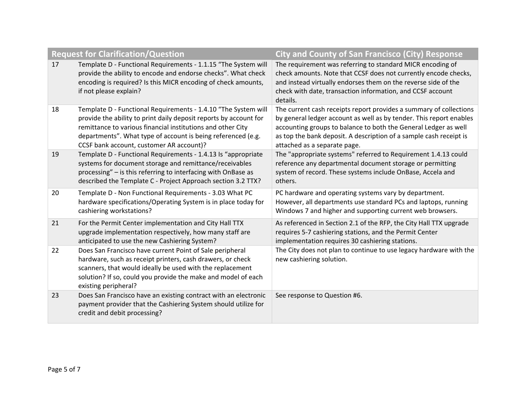|    | <b>Request for Clarification/Question</b>                                                                                                                                                                                                                                                                      | <b>City and County of San Francisco (City) Response</b>                                                                                                                                                                                                                                                            |
|----|----------------------------------------------------------------------------------------------------------------------------------------------------------------------------------------------------------------------------------------------------------------------------------------------------------------|--------------------------------------------------------------------------------------------------------------------------------------------------------------------------------------------------------------------------------------------------------------------------------------------------------------------|
| 17 | Template D - Functional Requirements - 1.1.15 "The System will<br>provide the ability to encode and endorse checks". What check<br>encoding is required? Is this MICR encoding of check amounts,<br>if not please explain?                                                                                     | The requirement was referring to standard MICR encoding of<br>check amounts. Note that CCSF does not currently encode checks,<br>and instead virtually endorses them on the reverse side of the<br>check with date, transaction information, and CCSF account<br>details.                                          |
| 18 | Template D - Functional Requirements - 1.4.10 "The System will<br>provide the ability to print daily deposit reports by account for<br>remittance to various financial institutions and other City<br>departments". What type of account is being referenced (e.g.<br>CCSF bank account, customer AR account)? | The current cash receipts report provides a summary of collections<br>by general ledger account as well as by tender. This report enables<br>accounting groups to balance to both the General Ledger as well<br>as top the bank deposit. A description of a sample cash receipt is<br>attached as a separate page. |
| 19 | Template D - Functional Requirements - 1.4.13 Is "appropriate<br>systems for document storage and remittance/receivables<br>processing" – is this referring to interfacing with OnBase as<br>described the Template C - Project Approach section 3.2 TTX?                                                      | The "appropriate systems" referred to Requirement 1.4.13 could<br>reference any departmental document storage or permitting<br>system of record. These systems include OnBase, Accela and<br>others.                                                                                                               |
| 20 | Template D - Non Functional Requirements - 3.03 What PC<br>hardware specifications/Operating System is in place today for<br>cashiering workstations?                                                                                                                                                          | PC hardware and operating systems vary by department.<br>However, all departments use standard PCs and laptops, running<br>Windows 7 and higher and supporting current web browsers.                                                                                                                               |
| 21 | For the Permit Center implementation and City Hall TTX<br>upgrade implementation respectively, how many staff are<br>anticipated to use the new Cashiering System?                                                                                                                                             | As referenced in Section 2.1 of the RFP, the City Hall TTX upgrade<br>requires 5-7 cashiering stations, and the Permit Center<br>implementation requires 30 cashiering stations.                                                                                                                                   |
| 22 | Does San Francisco have current Point of Sale peripheral<br>hardware, such as receipt printers, cash drawers, or check<br>scanners, that would ideally be used with the replacement<br>solution? If so, could you provide the make and model of each<br>existing peripheral?                                   | The City does not plan to continue to use legacy hardware with the<br>new cashiering solution.                                                                                                                                                                                                                     |
| 23 | Does San Francisco have an existing contract with an electronic<br>payment provider that the Cashiering System should utilize for<br>credit and debit processing?                                                                                                                                              | See response to Question #6.                                                                                                                                                                                                                                                                                       |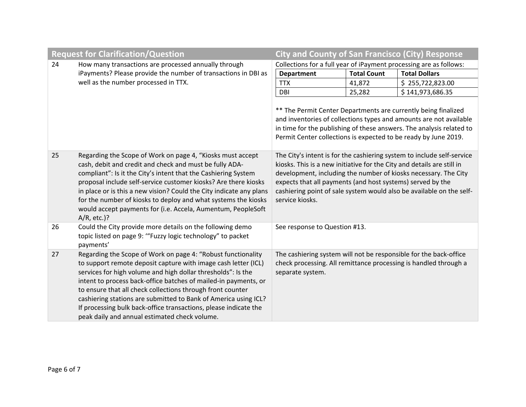|    | <b>Request for Clarification/Question</b>                                                                                                                                                                                                                                                                                                                                                                                                                                                                               | <b>City and County of San Francisco (City) Response</b>                                                                                                                                                                                                                                                                                                                      |                    |                                                                                                                                       |  |  |  |
|----|-------------------------------------------------------------------------------------------------------------------------------------------------------------------------------------------------------------------------------------------------------------------------------------------------------------------------------------------------------------------------------------------------------------------------------------------------------------------------------------------------------------------------|------------------------------------------------------------------------------------------------------------------------------------------------------------------------------------------------------------------------------------------------------------------------------------------------------------------------------------------------------------------------------|--------------------|---------------------------------------------------------------------------------------------------------------------------------------|--|--|--|
| 24 | How many transactions are processed annually through                                                                                                                                                                                                                                                                                                                                                                                                                                                                    | Collections for a full year of iPayment processing are as follows:                                                                                                                                                                                                                                                                                                           |                    |                                                                                                                                       |  |  |  |
|    | iPayments? Please provide the number of transactions in DBI as                                                                                                                                                                                                                                                                                                                                                                                                                                                          | <b>Department</b>                                                                                                                                                                                                                                                                                                                                                            | <b>Total Count</b> | <b>Total Dollars</b>                                                                                                                  |  |  |  |
|    | well as the number processed in TTX.                                                                                                                                                                                                                                                                                                                                                                                                                                                                                    | <b>TTX</b>                                                                                                                                                                                                                                                                                                                                                                   | 41,872             | \$255,722,823.00                                                                                                                      |  |  |  |
|    |                                                                                                                                                                                                                                                                                                                                                                                                                                                                                                                         | DBI                                                                                                                                                                                                                                                                                                                                                                          | 25,282             | \$141,973,686.35                                                                                                                      |  |  |  |
|    |                                                                                                                                                                                                                                                                                                                                                                                                                                                                                                                         | ** The Permit Center Departments are currently being finalized<br>and inventories of collections types and amounts are not available<br>in time for the publishing of these answers. The analysis related to<br>Permit Center collections is expected to be ready by June 2019.                                                                                              |                    |                                                                                                                                       |  |  |  |
| 25 | Regarding the Scope of Work on page 4, "Kiosks must accept<br>cash, debit and credit and check and must be fully ADA-<br>compliant": Is it the City's intent that the Cashiering System<br>proposal include self-service customer kiosks? Are there kiosks<br>in place or is this a new vision? Could the City indicate any plans<br>for the number of kiosks to deploy and what systems the kiosks<br>would accept payments for (i.e. Accela, Aumentum, PeopleSoft<br>$A/R$ , etc.)?                                   | The City's intent is for the cashiering system to include self-service<br>kiosks. This is a new initiative for the City and details are still in<br>development, including the number of kiosks necessary. The City<br>expects that all payments (and host systems) served by the<br>cashiering point of sale system would also be available on the self-<br>service kiosks. |                    |                                                                                                                                       |  |  |  |
| 26 | Could the City provide more details on the following demo<br>topic listed on page 9: "Fuzzy logic technology" to packet<br>payments'                                                                                                                                                                                                                                                                                                                                                                                    | See response to Question #13.                                                                                                                                                                                                                                                                                                                                                |                    |                                                                                                                                       |  |  |  |
| 27 | Regarding the Scope of Work on page 4: "Robust functionality<br>to support remote deposit capture with image cash letter (ICL)<br>services for high volume and high dollar thresholds": Is the<br>intent to process back-office batches of mailed-in payments, or<br>to ensure that all check collections through front counter<br>cashiering stations are submitted to Bank of America using ICL?<br>If processing bulk back-office transactions, please indicate the<br>peak daily and annual estimated check volume. | separate system.                                                                                                                                                                                                                                                                                                                                                             |                    | The cashiering system will not be responsible for the back-office<br>check processing. All remittance processing is handled through a |  |  |  |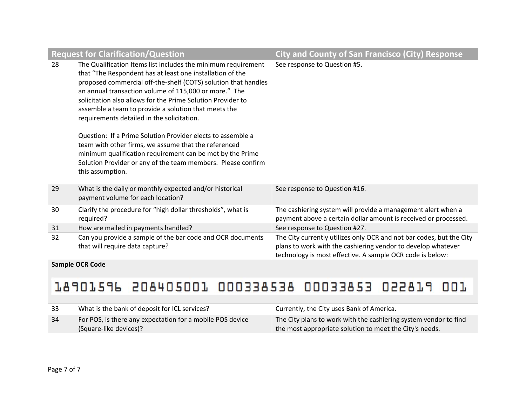|    | <b>Request for Clarification/Question</b>                                                                                                                                                                                                                                                                                                                                                                                                                                                                                                                                                                                                                                                          | <b>City and County of San Francisco (City) Response</b>                                                                                                                                           |  |  |
|----|----------------------------------------------------------------------------------------------------------------------------------------------------------------------------------------------------------------------------------------------------------------------------------------------------------------------------------------------------------------------------------------------------------------------------------------------------------------------------------------------------------------------------------------------------------------------------------------------------------------------------------------------------------------------------------------------------|---------------------------------------------------------------------------------------------------------------------------------------------------------------------------------------------------|--|--|
| 28 | The Qualification Items list includes the minimum requirement<br>that "The Respondent has at least one installation of the<br>proposed commercial off-the-shelf (COTS) solution that handles<br>an annual transaction volume of 115,000 or more." The<br>solicitation also allows for the Prime Solution Provider to<br>assemble a team to provide a solution that meets the<br>requirements detailed in the solicitation.<br>Question: If a Prime Solution Provider elects to assemble a<br>team with other firms, we assume that the referenced<br>minimum qualification requirement can be met by the Prime<br>Solution Provider or any of the team members. Please confirm<br>this assumption. | See response to Question #5.                                                                                                                                                                      |  |  |
| 29 | What is the daily or monthly expected and/or historical<br>payment volume for each location?                                                                                                                                                                                                                                                                                                                                                                                                                                                                                                                                                                                                       | See response to Question #16.                                                                                                                                                                     |  |  |
| 30 | Clarify the procedure for "high dollar thresholds", what is<br>required?                                                                                                                                                                                                                                                                                                                                                                                                                                                                                                                                                                                                                           | The cashiering system will provide a management alert when a<br>payment above a certain dollar amount is received or processed.                                                                   |  |  |
| 31 | How are mailed in payments handled?                                                                                                                                                                                                                                                                                                                                                                                                                                                                                                                                                                                                                                                                | See response to Question #27.                                                                                                                                                                     |  |  |
| 32 | Can you provide a sample of the bar code and OCR documents<br>that will require data capture?                                                                                                                                                                                                                                                                                                                                                                                                                                                                                                                                                                                                      | The City currently utilizes only OCR and not bar codes, but the City<br>plans to work with the cashiering vendor to develop whatever<br>technology is most effective. A sample OCR code is below: |  |  |

**Sample OCR Code**

# 18901596 208405001 000338538 00033853 022819 001

| -33 | What is the bank of deposit for ICL services?                                       | Currently, the City uses Bank of America.                                                                                   |
|-----|-------------------------------------------------------------------------------------|-----------------------------------------------------------------------------------------------------------------------------|
| 34  | For POS, is there any expectation for a mobile POS device<br>(Square-like devices)? | The City plans to work with the cashiering system vendor to find<br>the most appropriate solution to meet the City's needs. |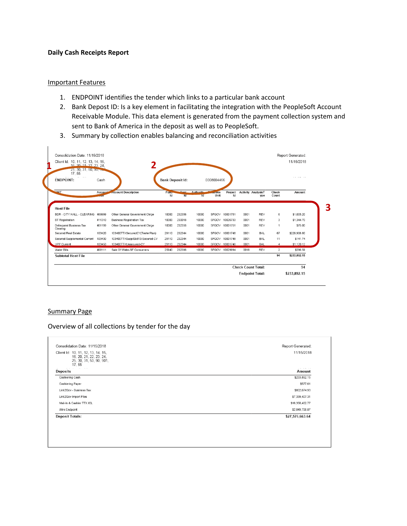#### **Daily Cash Receipts Report**

#### Important Features

- 1. ENDPOINT identifies the tender which links to a particular bank account
- 2. Bank Depost ID: Is a key element in facilitating the integration with the PeopleSoft Account Receivable Module. This data element is generated from the payment collection system and sent to Bank of America in the deposit as well as to PeopleSoft.
- 3. Summary by collection enables balancing and reconciliation activities

| Client Id: 10, 11, 12, 13, 14, 15,<br>16 20 21 22 23 24<br>25, 30, 31, 50, 50, 50<br>17, 55<br>$\sim$ $\sim$<br><b>ENDPOINT:</b> | Cash    |                                  | <b>Bank Deposit Id:</b> |            |                 | 0008004466       |                |      |                                  |                |              |
|----------------------------------------------------------------------------------------------------------------------------------|---------|----------------------------------|-------------------------|------------|-----------------|------------------|----------------|------|----------------------------------|----------------|--------------|
| <b>WAIT</b>                                                                                                                      | Account | <b>Account Description</b>       | Funo-<br>Id             | Dent<br>ld | Authority<br>Td | $10$ ess<br>Unit | Project<br>Id  |      | <b>Activity AnalysisT</b><br>ype | Check<br>Count | Amount       |
| <b>Host File</b>                                                                                                                 |         |                                  |                         |            |                 |                  |                |      |                                  |                |              |
| BDR - CITY HALL - CLEARING                                                                                                       | 469999  | Other General Government Chroe   | 10000                   | 232356     | 10000           | SFGOV            | 10001751       | 0001 | <b>REV</b>                       | 6              | \$1,005.20   |
| <b>BT</b> Registration                                                                                                           | 411310  | <b>Business Registration Tax</b> | 10000                   | 230018     | 10000           | SFGOV            | 10026733       | 0001 | <b>REV</b>                       | 3              | \$1,344.70   |
| <b>Delinquent Business Tax</b><br>Clearing                                                                                       | 461199  | Other General Government Chrge   | 10000                   | 232356     | 10000           | SFGOV            | 10001751       | 0001 | <b>REV</b>                       | 1              | \$75.00      |
| Secured Real Estate                                                                                                              | 103420  | 103400TTXSecuredCY(TeeterPlan)   | 29110                   | 232344     | 10000           | <b>SFGOV</b>     | 10001748       | 0001 | <b>BAL</b>                       | 67             | \$229,908.80 |
| Secured Supplemental Current                                                                                                     | 103430  | 103400TTXSuppISb813-Secured-CY   | 29110                   | 232344     | 10000           | SFGOV            | 10001748       | 0001 | BAI                              | 11             | \$141.74     |
| UPP Current                                                                                                                      | 103450  | 103400TTXUnsecured-CY            | 29110                   | 232344     | 10000           |                  | SFGOV 10001748 | 0001 | <b>BAL</b>                       | $\overline{4}$ | \$1,120.12   |
| Water Bills                                                                                                                      | 468111  | Sale Of Water-SF Consumers       | 25940                   | 232396     | 10000           |                  | SFGOV 10029994 | 0018 | <b>REV</b>                       | $\overline{2}$ | \$296.59     |
|                                                                                                                                  |         |                                  |                         |            |                 |                  |                |      |                                  | 94             | \$233,892.15 |
|                                                                                                                                  |         |                                  |                         |            |                 |                  |                |      |                                  |                |              |
| <b>Subtotal Host File</b>                                                                                                        |         |                                  |                         |            |                 |                  |                |      | <b>Check Count Total:</b>        |                | 94           |

#### Summary Page

Overview of all collections by tender for the day

| Consolidation Date: 11/15/2018                                                                      | Report Generated: |
|-----------------------------------------------------------------------------------------------------|-------------------|
|                                                                                                     |                   |
| Client Id: 10, 11, 12, 13, 14, 15,<br>16, 20, 21, 22, 23, 24,<br>25, 30, 31, 50, 90, 901,<br>17, 55 | 11/15/2018        |
| $\cdots$ $\cdots$<br>Deposits                                                                       | Amount            |
| Cashiering Cash                                                                                     | \$233,892.15      |
| <b>Cashiering Paper</b>                                                                             | \$577.61          |
| Link2Gov - Business Tax                                                                             | \$802,674.93      |
| Link2Gov Import Files                                                                               | \$7,339,407.31    |
| Mail-In & Cashier TTX ICL                                                                           | \$16,350,402.77   |
| Wire Endpoint                                                                                       | \$2,849,708.87    |
| <b>Deposit Totals:</b>                                                                              | \$27,576,663.64   |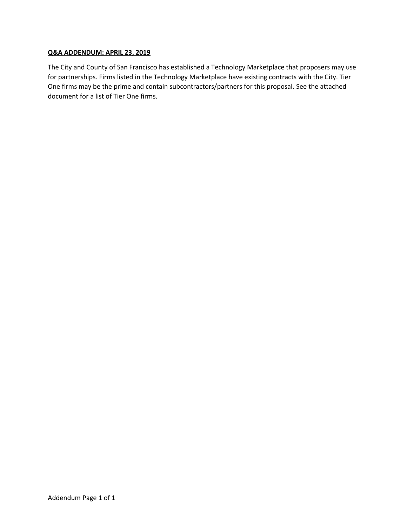#### **Q&A ADDENDUM: APRIL 23, 2019**

The City and County of San Francisco has established a Technology Marketplace that proposers may use for partnerships. Firms listed in the Technology Marketplace have existing contracts with the City. Tier One firms may be the prime and contain subcontractors/partners for this proposal. See the attached document for a list of Tier One firms.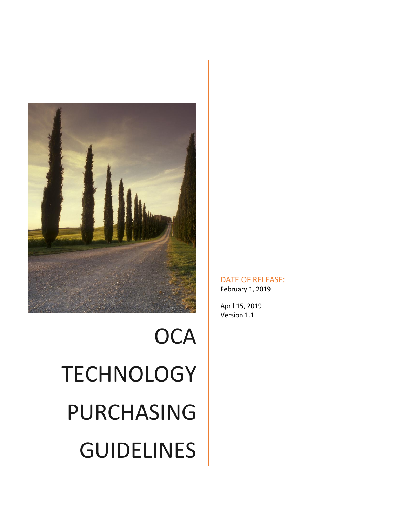

# **OCA TECHNOLOGY** PURCHASING GUIDELINES

DATE OF RELEASE: February 1, 2019

April 15, 2019 Version 1.1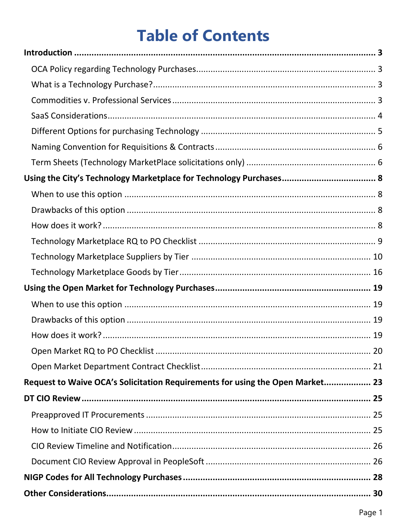# **Table of Contents**

| Request to Waive OCA's Solicitation Requirements for using the Open Market 23 |  |
|-------------------------------------------------------------------------------|--|
|                                                                               |  |
|                                                                               |  |
|                                                                               |  |
|                                                                               |  |
|                                                                               |  |
|                                                                               |  |
|                                                                               |  |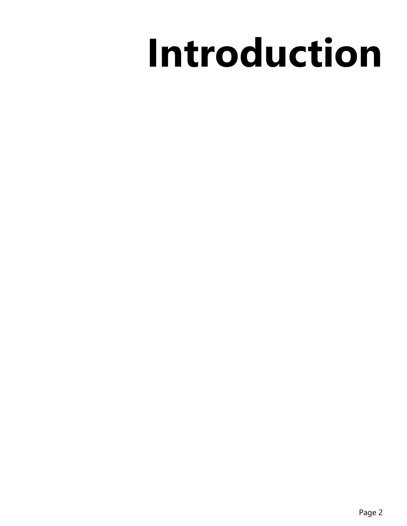# **Introduction**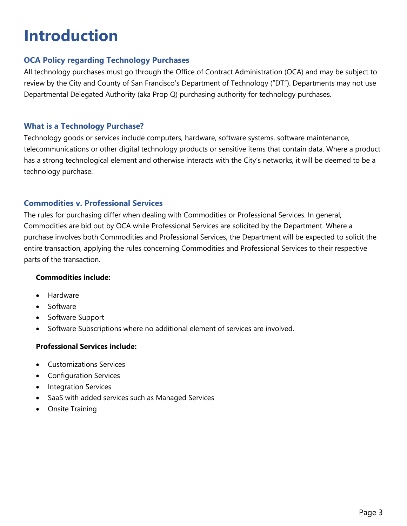# <span id="page-12-0"></span>**Introduction**

# <span id="page-12-1"></span>**OCA Policy regarding Technology Purchases**

All technology purchases must go through the Office of Contract Administration (OCA) and may be subject to review by the City and County of San Francisco's Department of Technology ("DT"). Departments may not use Departmental Delegated Authority (aka Prop Q) purchasing authority for technology purchases.

# <span id="page-12-2"></span>**What is a Technology Purchase?**

Technology goods or services include computers, hardware, software systems, software maintenance, telecommunications or other digital technology products or sensitive items that contain data. Where a product has a strong technological element and otherwise interacts with the City's networks, it will be deemed to be a technology purchase.

# <span id="page-12-3"></span>**Commodities v. Professional Services**

The rules for purchasing differ when dealing with Commodities or Professional Services. In general, Commodities are bid out by OCA while Professional Services are solicited by the Department. Where a purchase involves both Commodities and Professional Services, the Department will be expected to solicit the entire transaction, applying the rules concerning Commodities and Professional Services to their respective parts of the transaction.

### **Commodities include:**

- **Hardware**
- Software
- Software Support
- Software Subscriptions where no additional element of services are involved.

# **Professional Services include:**

- Customizations Services
- Configuration Services
- Integration Services
- SaaS with added services such as Managed Services
- <span id="page-12-4"></span>• Onsite Training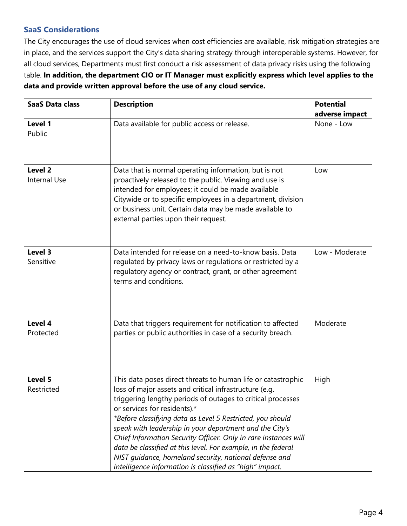# **SaaS Considerations**

The City encourages the use of cloud services when cost efficiencies are available, risk mitigation strategies are in place, and the services support the City's data sharing strategy through interoperable systems. However, for all cloud services, Departments must first conduct a risk assessment of data privacy risks using the following table. **In addition, the department CIO or IT Manager must explicitly express which level applies to the data and provide written approval before the use of any cloud service.**

| <b>SaaS Data class</b>                                                                                                                                                                                                                                                                                                                                                    | <b>Description</b>                                                                                                                                                                                                                                                                                                                                                                                                                                                                                                                                                                                       | <b>Potential</b> |
|---------------------------------------------------------------------------------------------------------------------------------------------------------------------------------------------------------------------------------------------------------------------------------------------------------------------------------------------------------------------------|----------------------------------------------------------------------------------------------------------------------------------------------------------------------------------------------------------------------------------------------------------------------------------------------------------------------------------------------------------------------------------------------------------------------------------------------------------------------------------------------------------------------------------------------------------------------------------------------------------|------------------|
|                                                                                                                                                                                                                                                                                                                                                                           |                                                                                                                                                                                                                                                                                                                                                                                                                                                                                                                                                                                                          | adverse impact   |
| Level 1<br>Public                                                                                                                                                                                                                                                                                                                                                         | Data available for public access or release.                                                                                                                                                                                                                                                                                                                                                                                                                                                                                                                                                             | None - Low       |
| Level 2<br>Data that is normal operating information, but is not<br>proactively released to the public. Viewing and use is<br><b>Internal Use</b><br>intended for employees; it could be made available<br>Citywide or to specific employees in a department, division<br>or business unit. Certain data may be made available to<br>external parties upon their request. |                                                                                                                                                                                                                                                                                                                                                                                                                                                                                                                                                                                                          | Low              |
| Level 3<br>Sensitive                                                                                                                                                                                                                                                                                                                                                      | Data intended for release on a need-to-know basis. Data<br>regulated by privacy laws or regulations or restricted by a<br>regulatory agency or contract, grant, or other agreement<br>terms and conditions.                                                                                                                                                                                                                                                                                                                                                                                              | Low - Moderate   |
| Level 4<br>Protected                                                                                                                                                                                                                                                                                                                                                      | Data that triggers requirement for notification to affected<br>parties or public authorities in case of a security breach.                                                                                                                                                                                                                                                                                                                                                                                                                                                                               | Moderate         |
| Level 5<br>Restricted                                                                                                                                                                                                                                                                                                                                                     | This data poses direct threats to human life or catastrophic<br>loss of major assets and critical infrastructure (e.g.<br>triggering lengthy periods of outages to critical processes<br>or services for residents).*<br>*Before classifying data as Level 5 Restricted, you should<br>speak with leadership in your department and the City's<br>Chief Information Security Officer. Only in rare instances will<br>data be classified at this level. For example, in the federal<br>NIST guidance, homeland security, national defense and<br>intelligence information is classified as "high" impact. | High             |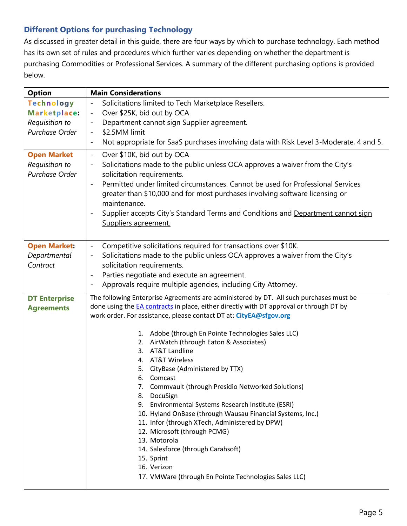# <span id="page-14-0"></span>**Different Options for purchasing Technology**

As discussed in greater detail in this guide, there are four ways by which to purchase technology. Each method has its own set of rules and procedures which further varies depending on whether the department is purchasing Commodities or Professional Services. A summary of the different purchasing options is provided below.

| <b>Option</b>                                                         | <b>Main Considerations</b>                                                                                                                                                                                                                                                                                                                                                                                                                                                                                                                                                                                                                                                                                                                                                                                                                                                                                 |
|-----------------------------------------------------------------------|------------------------------------------------------------------------------------------------------------------------------------------------------------------------------------------------------------------------------------------------------------------------------------------------------------------------------------------------------------------------------------------------------------------------------------------------------------------------------------------------------------------------------------------------------------------------------------------------------------------------------------------------------------------------------------------------------------------------------------------------------------------------------------------------------------------------------------------------------------------------------------------------------------|
| <b>Technology</b><br>Marketplace:<br>Requisition to<br>Purchase Order | Solicitations limited to Tech Marketplace Resellers.<br>$\blacksquare$<br>Over \$25K, bid out by OCA<br>$\equiv$<br>Department cannot sign Supplier agreement.<br>$\blacksquare$<br>\$2.5MM limit<br>$\overline{\phantom{a}}$<br>Not appropriate for SaaS purchases involving data with Risk Level 3-Moderate, 4 and 5.<br>$\overline{\phantom{a}}$                                                                                                                                                                                                                                                                                                                                                                                                                                                                                                                                                        |
| <b>Open Market</b><br>Requisition to<br>Purchase Order                | Over \$10K, bid out by OCA<br>$\blacksquare$<br>Solicitations made to the public unless OCA approves a waiver from the City's<br>solicitation requirements.<br>Permitted under limited circumstances. Cannot be used for Professional Services<br>greater than \$10,000 and for most purchases involving software licensing or<br>maintenance.<br>Supplier accepts City's Standard Terms and Conditions and Department cannot sign<br>Suppliers agreement.                                                                                                                                                                                                                                                                                                                                                                                                                                                 |
| <b>Open Market:</b><br>Departmental<br>Contract                       | Competitive solicitations required for transactions over \$10K.<br>$\equiv$<br>Solicitations made to the public unless OCA approves a waiver from the City's<br>$\blacksquare$<br>solicitation requirements.<br>Parties negotiate and execute an agreement.<br>$\overline{\phantom{a}}$<br>Approvals require multiple agencies, including City Attorney.                                                                                                                                                                                                                                                                                                                                                                                                                                                                                                                                                   |
| <b>DT Enterprise</b><br><b>Agreements</b>                             | The following Enterprise Agreements are administered by DT. All such purchases must be<br>done using the <b>EA</b> contracts in place, either directly with DT approval or through DT by<br>work order. For assistance, please contact DT at: CityEA@sfgov.org<br>1. Adobe (through En Pointe Technologies Sales LLC)<br>AirWatch (through Eaton & Associates)<br>2.<br>AT&T Landline<br>3.<br>4. AT&T Wireless<br>CityBase (Administered by TTX)<br>5.<br>6.<br>Comcast<br><b>Commvault (through Presidio Networked Solutions)</b><br>7.<br>8. DocuSign<br>9. Environmental Systems Research Institute (ESRI)<br>10. Hyland OnBase (through Wausau Financial Systems, Inc.)<br>11. Infor (through XTech, Administered by DPW)<br>12. Microsoft (through PCMG)<br>13. Motorola<br>14. Salesforce (through Carahsoft)<br>15. Sprint<br>16. Verizon<br>17. VMWare (through En Pointe Technologies Sales LLC) |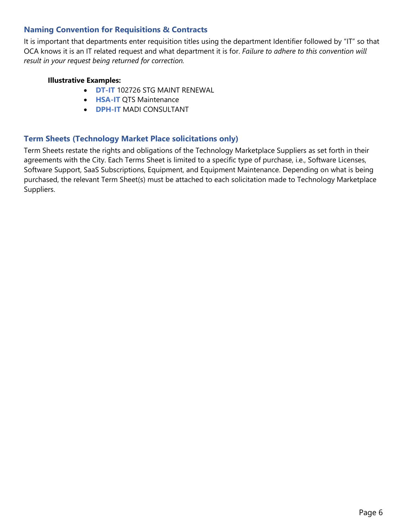# <span id="page-15-0"></span>**Naming Convention for Requisitions & Contracts**

It is important that departments enter requisition titles using the department Identifier followed by "IT" so that OCA knows it is an IT related request and what department it is for. *Failure to adhere to this convention will result in your request being returned for correction.*

## **Illustrative Examples:**

- **DT-IT** 102726 STG MAINT RENEWAL
- **HSA-IT** QTS Maintenance
- **DPH-IT** MADI CONSULTANT

# <span id="page-15-1"></span>**Term Sheets (Technology Market Place solicitations only)**

Term Sheets restate the rights and obligations of the Technology Marketplace Suppliers as set forth in their agreements with the City. Each Terms Sheet is limited to a specific type of purchase, i.e., Software Licenses, Software Support, SaaS Subscriptions, Equipment, and Equipment Maintenance. Depending on what is being purchased, the relevant Term Sheet(s) must be attached to each solicitation made to Technology Marketplace Suppliers.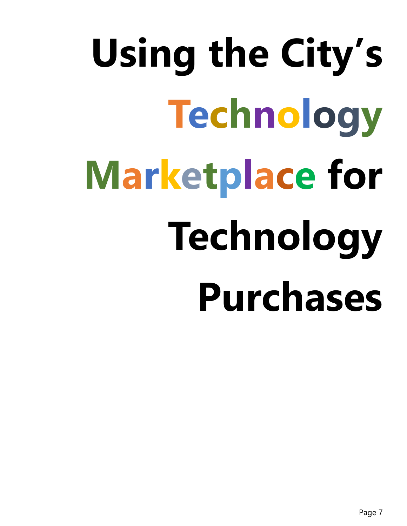# **Using the City's Technology Marketplace for Technology Purchases**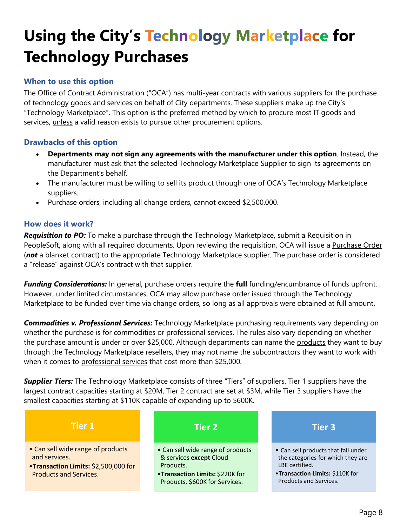# <span id="page-17-0"></span>**Using the City's Technology Marketplace for Technology Purchases**

# <span id="page-17-1"></span>**When to use this option**

The Office of Contract Administration ("OCA") has multi-year contracts with various [suppliers](https://currents.ad1.sfwater.org/its/Pages/TechMktPurch.html?IsDlg=1#Suppliers) for the purchase of technology goods and services on behalf of City departments. These suppliers make up the City's "Technology Marketplace". This option is the preferred method by which to procure most IT goods and services, unless a valid reason exists to pursue other procurement options.

# <span id="page-17-2"></span>**Drawbacks of this option**

- **Departments may not sign any agreements with the manufacturer under this option**. Instead, the manufacturer must ask that the selected [Technology Marketplace Supplier](https://currents.ad1.sfwater.org/its/Pages/TechMktPurch.html?IsDlg=1#Suppliers) to sign its agreements on the Department's behalf.
- The manufacturer must be willing to sell its product through one of OCA's Technology Marketplace [suppliers.](https://currents.ad1.sfwater.org/its/Pages/TechMktPurch.html?IsDlg=1#Suppliers)
- Purchase orders, including all change orders, cannot exceed \$2,500,000.

# <span id="page-17-3"></span>**How does it work?**

*Requisition to PO:* To make a purchase through the Technology Marketplace, submit a Requisition in PeopleSoft, along with all required documents. Upon reviewing the requisition, OCA will issue a Purchase Order (*not* a blanket contract) to the appropriate Technology Marketplace supplier. The purchase order is considered a "release" against OCA's contract with that supplier.

*Funding Considerations:* In general, purchase orders require the **full** funding/encumbrance of funds upfront. However, under limited circumstances, OCA may allow purchase order issued through the Technology Marketplace to be funded over time via change orders, so long as all approvals were obtained at full amount.

*Commodities v. Professional Services:* Technology Marketplace purchasing requirements vary depending on whether the purchase is for commodities or professional services. The rules also vary depending on whether the purchase amount is under or over \$25,000. Although departments can name the products they want to buy through the Technology Marketplace resellers, they may not name the subcontractors they want to work with when it comes to professional services that cost more than \$25,000.

**Supplier Tiers:** The Technology Marketplace consists of three "Tiers" of suppliers. Tier 1 suppliers have the largest contract capacities starting at \$20M, Tier 2 contract are set at \$3M, while Tier 3 suppliers have the smallest capacities starting at \$110K capable of expanding up to \$600K.

| Tier 1                                                                                                                      | Tier 2                                                                                                                                         | <b>Tier 3</b>                                                                                                                                           |
|-----------------------------------------------------------------------------------------------------------------------------|------------------------------------------------------------------------------------------------------------------------------------------------|---------------------------------------------------------------------------------------------------------------------------------------------------------|
| • Can sell wide range of products<br>and services.<br>•Transaction Limits: \$2,500,000 for<br><b>Products and Services.</b> | • Can sell wide range of products<br>& services except Cloud<br>Products.<br>•Transaction Limits: \$220K for<br>Products, \$600K for Services. | • Can sell products that fall under<br>the categories for which they are<br>LBE certified.<br>•Transaction Limits: \$110K for<br>Products and Services. |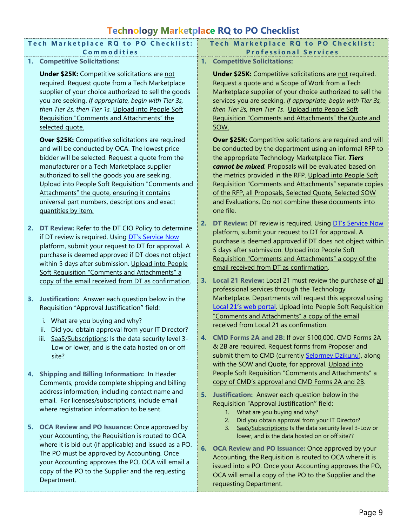# **Technology Marketplace RQ to PO Checklist**

<span id="page-18-0"></span>

|    |                                                                                                                                                                                                                                                                                                                                                                                                                                                | <b>Teenhology</b> marketplace me to T & encember                                                                                                                                                                                                                                                                                                                                                                                                                                                     |
|----|------------------------------------------------------------------------------------------------------------------------------------------------------------------------------------------------------------------------------------------------------------------------------------------------------------------------------------------------------------------------------------------------------------------------------------------------|------------------------------------------------------------------------------------------------------------------------------------------------------------------------------------------------------------------------------------------------------------------------------------------------------------------------------------------------------------------------------------------------------------------------------------------------------------------------------------------------------|
|    | Tech Marketplace RQ to PO Checklist:<br>Commodities                                                                                                                                                                                                                                                                                                                                                                                            | Tech Marketplace RQ to PO Checklist:<br><b>Professional Services</b>                                                                                                                                                                                                                                                                                                                                                                                                                                 |
| 1. | <b>Competitive Solicitations:</b>                                                                                                                                                                                                                                                                                                                                                                                                              | 1. Competitive Solicitations:                                                                                                                                                                                                                                                                                                                                                                                                                                                                        |
|    | <b>Under \$25K:</b> Competitive solicitations are not<br>required. Request quote from a Tech Marketplace<br>supplier of your choice authorized to sell the goods<br>you are seeking. If appropriate, begin with Tier 3s,<br>then Tier 2s, then Tier 1s. Upload into People Soft<br>Requisition "Comments and Attachments" the<br>selected quote.                                                                                               | <b>Under \$25K:</b> Competitive solicitations are not required.<br>Request a quote and a Scope of Work from a Tech<br>Marketplace supplier of your choice authorized to sell the<br>services you are seeking. If appropriate, begin with Tier 3s,<br>then Tier 2s, then Tier 1s. Upload into People Soft<br>Requisition "Comments and Attachments" the Quote and<br>SOW.                                                                                                                             |
|    | <b>Over \$25K:</b> Competitive solicitations are required<br>and will be conducted by OCA. The lowest price<br>bidder will be selected. Request a quote from the<br>manufacturer or a Tech Marketplace supplier<br>authorized to sell the goods you are seeking.<br>Upload into People Soft Requisition "Comments and<br>Attachments" the quote, ensuring it contains<br>universal part numbers, descriptions and exact<br>quantities by item. | <b>Over \$25K:</b> Competitive solicitations are required and will<br>be conducted by the department using an informal RFP to<br>the appropriate Technology Marketplace Tier. Tiers<br>cannot be mixed. Proposals will be evaluated based on<br>the metrics provided in the RFP. Upload into People Soft<br>Requisition "Comments and Attachments" separate copies<br>of the RFP, all Proposals, Selected Quote, Selected SOW<br>and Evaluations. Do not combine these documents into<br>one file.   |
| 2. | DT Review: Refer to the DT CIO Policy to determine<br>if DT review is required. Using DT's Service Now<br>platform, submit your request to DT for approval. A<br>purchase is deemed approved if DT does not object<br>within 5 days after submission. Upload into People<br>Soft Requisition "Comments and Attachments" a<br>copy of the email received from DT as confirmation.                                                               | DT Review: DT review is required. Using DT's Service Now<br>2.<br>platform, submit your request to DT for approval. A<br>purchase is deemed approved if DT does not object within<br>5 days after submission. Upload into People Soft<br>Requisition "Comments and Attachments" a copy of the<br>email received from DT as confirmation.<br>Local 21 Review: Local 21 must review the purchase of all<br>3.                                                                                          |
| 3. | Justification: Answer each question below in the<br>Requisition "Approval Justification" field:<br>i. What are you buying and why?<br>ii. Did you obtain approval from your IT Director?<br>iii. SaaS/Subscriptions: Is the data security level 3-<br>Low or lower, and is the data hosted on or off<br>site?                                                                                                                                  | professional services through the Technology<br>Marketplace. Departments will request this approval using<br>Local 21's web portal. Upload into People Soft Requisition<br>"Comments and Attachments" a copy of the email<br>received from Local 21 as confirmation.<br>4. CMD Forms 2A and 2B: If over \$100,000, CMD Forms 2A<br>& 2B are required. Request forms from Proposer and<br>submit them to CMD (currently Selormey Dzikunu), along<br>with the SOW and Quote, for approval. Upload into |
| 4. | Shipping and Billing Information: In Header<br>Comments, provide complete shipping and billing<br>address information, including contact name and<br>email. For licenses/subscriptions, include email<br>where registration information to be sent.                                                                                                                                                                                            | People Soft Requisition "Comments and Attachments" a<br>copy of CMD's approval and CMD Forms 2A and 2B.<br>5. Justification: Answer each question below in the<br>Requisition "Approval Justification" field:<br>What are you buying and why?<br>$1_{\cdot}$<br>Did you obtain approval from your IT Director?<br>2.                                                                                                                                                                                 |
| 5. | <b>OCA Review and PO Issuance: Once approved by</b><br>your Accounting, the Requisition is routed to OCA<br>where it is bid out (if applicable) and issued as a PO.<br>The PO must be approved by Accounting. Once<br>your Accounting approves the PO, OCA will email a<br>copy of the PO to the Supplier and the requesting<br>Department.                                                                                                    | SaaS/Subscriptions: Is the data security level 3-Low or<br>3.<br>lower, and is the data hosted on or off site??<br>6. OCA Review and PO Issuance: Once approved by your<br>Accounting, the Requisition is routed to OCA where it is<br>issued into a PO. Once your Accounting approves the PO,<br>OCA will email a copy of the PO to the Supplier and the<br>requesting Department.                                                                                                                  |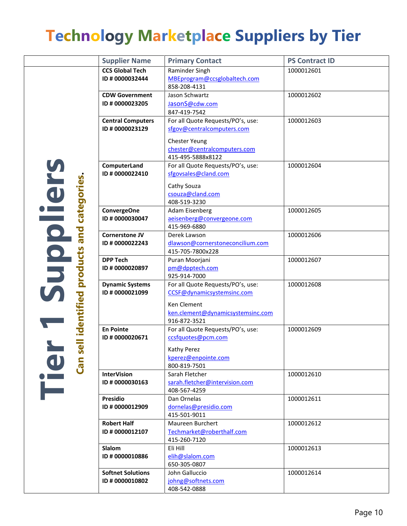# <span id="page-19-0"></span>**Technology Marketplace Suppliers by Tier**

|                         | <b>Supplier Name</b>     | <b>Primary Contact</b>                            | <b>PS Contract ID</b> |
|-------------------------|--------------------------|---------------------------------------------------|-----------------------|
|                         | <b>CCS Global Tech</b>   | Raminder Singh                                    | 1000012601            |
|                         | ID # 0000032444          | MBEprogram@ccsglobaltech.com                      |                       |
|                         |                          | 858-208-4131                                      |                       |
|                         | <b>CDW Government</b>    | Jason Schwartz                                    | 1000012602            |
|                         | ID # 0000023205          | JasonS@cdw.com                                    |                       |
|                         |                          | 847-419-7542                                      |                       |
|                         | <b>Central Computers</b> | For all Quote Requests/PO's, use:                 | 1000012603            |
|                         | ID # 0000023129          | sfgov@centralcomputers.com                        |                       |
|                         |                          | <b>Chester Yeung</b>                              |                       |
|                         |                          | chester@centralcomputers.com                      |                       |
|                         |                          | 415-495-5888x8122                                 |                       |
|                         | ComputerLand             | For all Quote Requests/PO's, use:                 | 1000012604            |
|                         | ID # 0000022410          | sfgovsales@cland.com                              |                       |
|                         |                          | Cathy Souza                                       |                       |
|                         |                          | csouza@cland.com                                  |                       |
|                         |                          | 408-519-3230                                      |                       |
| categories              | <b>ConvergeOne</b>       | Adam Eisenberg                                    | 1000012605            |
|                         | ID # 0000030047          | aeisenberg@convergeone.com                        |                       |
|                         |                          | 415-969-6880                                      |                       |
| and                     | <b>Cornerstone JV</b>    | Derek Lawson                                      | 1000012606            |
|                         | ID # 0000022243          | dlawson@cornerstoneconcilium.com                  |                       |
| Suppliers               |                          | 415-705-7800x228                                  |                       |
|                         | <b>DPP Tech</b>          | Puran Moorjani                                    | 1000012607            |
|                         | ID # 0000020897          | pm@dpptech.com<br>925-914-7000                    |                       |
|                         | <b>Dynamic Systems</b>   | For all Quote Requests/PO's, use:                 | 1000012608            |
|                         | ID # 0000021099          | CCSF@dynamicsystemsinc.com                        |                       |
|                         |                          |                                                   |                       |
|                         |                          | Ken Clement                                       |                       |
|                         |                          | ken.clement@dynamicsystemsinc.com<br>916-872-3521 |                       |
| identified products     | <b>En Pointe</b>         | For all Quote Requests/PO's, use:                 | 1000012609            |
|                         | ID # 0000020671          | ccsfquotes@pcm.com                                |                       |
| $\overline{\mathbf{d}}$ |                          |                                                   |                       |
| Ū                       |                          | Kathy Perez                                       |                       |
|                         |                          | kperez@enpointe.com<br>800-819-7501               |                       |
| i<br>Tie<br>Can         | <b>InterVision</b>       | Sarah Fletcher                                    | 1000012610            |
|                         | ID # 0000030163          | sarah.fletcher@intervision.com                    |                       |
|                         |                          | 408-567-4259                                      |                       |
|                         | <b>Presidio</b>          | Dan Ornelas                                       | 1000012611            |
|                         | ID # 0000012909          | dornelas@presidio.com                             |                       |
|                         |                          | 415-501-9011                                      |                       |
|                         | <b>Robert Half</b>       | Maureen Burchert                                  | 1000012612            |
|                         | ID # 0000012107          | Techmarket@roberthalf.com                         |                       |
|                         |                          | 415-260-7120                                      |                       |
|                         | <b>Slalom</b>            | Eli Hill                                          | 1000012613            |
|                         | ID # 0000010886          | elih@slalom.com                                   |                       |
|                         |                          | 650-305-0807                                      |                       |
|                         | <b>Softnet Solutions</b> | John Galluccio                                    | 1000012614            |
|                         | ID # 0000010802          | johng@softnets.com<br>408-542-0888                |                       |
|                         |                          |                                                   |                       |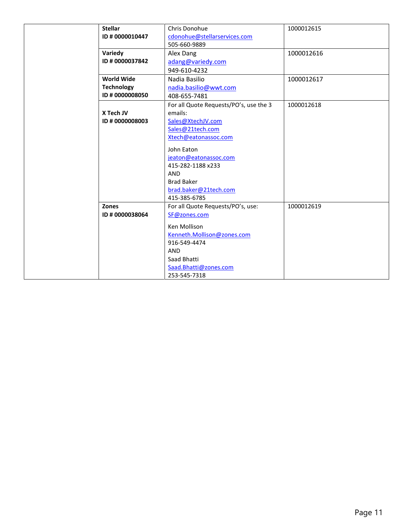| <b>Stellar</b>    | Chris Donohue                          | 1000012615 |
|-------------------|----------------------------------------|------------|
| ID # 0000010447   | cdonohue@stellarservices.com           |            |
|                   | 505-660-9889                           |            |
| Variedy           | Alex Dang                              | 1000012616 |
| ID # 0000037842   | adang@variedy.com                      |            |
|                   | 949-610-4232                           |            |
| <b>World Wide</b> | Nadia Basilio                          | 1000012617 |
| <b>Technology</b> | nadia.basilio@wwt.com                  |            |
| ID # 0000008050   | 408-655-7481                           |            |
|                   | For all Quote Requests/PO's, use the 3 | 1000012618 |
| X Tech JV         | emails:                                |            |
| ID # 0000008003   | Sales@XtechJV.com                      |            |
|                   | Sales@21tech.com                       |            |
|                   | Xtech@eatonassoc.com                   |            |
|                   | John Eaton                             |            |
|                   | jeaton@eatonassoc.com                  |            |
|                   | 415-282-1188 x233                      |            |
|                   | <b>AND</b>                             |            |
|                   | <b>Brad Baker</b>                      |            |
|                   | brad.baker@21tech.com                  |            |
|                   | 415-385-6785                           |            |
| Zones             | For all Quote Requests/PO's, use:      | 1000012619 |
| ID # 0000038064   | SF@zones.com                           |            |
|                   | Ken Mollison                           |            |
|                   | Kenneth.Mollison@zones.com             |            |
|                   | 916-549-4474                           |            |
|                   | <b>AND</b>                             |            |
|                   | Saad Bhatti                            |            |
|                   | Saad.Bhatti@zones.com                  |            |
|                   | 253-545-7318                           |            |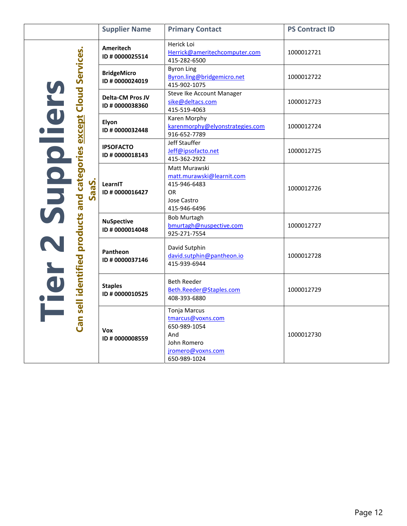|                                                                  | <b>Supplier Name</b>                       | <b>Primary Contact</b>                                                                                              | <b>PS Contract ID</b> |
|------------------------------------------------------------------|--------------------------------------------|---------------------------------------------------------------------------------------------------------------------|-----------------------|
|                                                                  | <b>Ameritech</b><br>ID # 0000025514        | Herick Loi<br>Herrick@ameritechcomputer.com<br>415-282-6500                                                         | 1000012721            |
|                                                                  | <b>BridgeMicro</b><br>ID # 0000024019      | <b>Byron Ling</b><br>Byron.ling@bridgemicro.net<br>415-902-1075                                                     | 1000012722            |
|                                                                  | <b>Delta-CM Pros JV</b><br>ID # 0000038360 | Steve Ike Account Manager<br>sike@deltacs.com<br>415-519-4063                                                       | 1000012723            |
| <b>except Cloud Services.</b>                                    | Elyon<br>ID # 0000032448                   | Karen Morphy<br>karenmorphy@elyonstrategies.com<br>916-652-7789                                                     | 1000012724            |
|                                                                  | <b>IPSOFACTO</b><br>ID # 0000018143        | Jeff Stauffer<br>Jeff@ipsofacto.net<br>415-362-2922                                                                 | 1000012725            |
| Supilcid<br>Can sell identified products and categories<br>SaaS. | LearnIT<br>ID # 0000016427                 | Matt Murawski<br>matt.murawski@learnit.com<br>415-946-6483<br>OR.<br>Jose Castro<br>415-946-6496                    | 1000012726            |
|                                                                  | <b>NuSpective</b><br>ID # 0000014048       | <b>Bob Murtagh</b><br>bmurtagh@nuspective.com<br>925-271-7554                                                       | 1000012727            |
|                                                                  | Pantheon<br>ID # 0000037146                | David Sutphin<br>david.sutphin@pantheon.io<br>415-939-6944                                                          | 1000012728            |
| Tier                                                             | <b>Staples</b><br>ID # 0000010525          | <b>Beth Reeder</b><br>Beth.Reeder@Staples.com<br>408-393-6880                                                       | 1000012729            |
|                                                                  | <b>Vox</b><br>ID # 0000008559              | <b>Tonja Marcus</b><br>tmarcus@voxns.com<br>650-989-1054<br>And<br>John Romero<br>jromero@voxns.com<br>650-989-1024 | 1000012730            |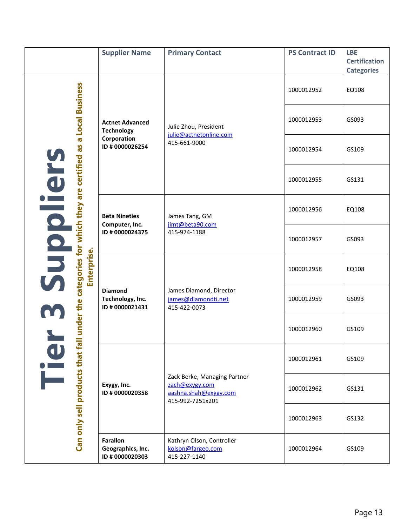|                                                                                                | <b>Supplier Name</b>                                      | <b>Primary Contact</b>                                                                      | <b>PS Contract ID</b> | <b>LBE</b><br><b>Certification</b><br><b>Categories</b> |
|------------------------------------------------------------------------------------------------|-----------------------------------------------------------|---------------------------------------------------------------------------------------------|-----------------------|---------------------------------------------------------|
|                                                                                                |                                                           |                                                                                             | 1000012952            | EQ108                                                   |
| <b>Local Business</b>                                                                          | <b>Actnet Advanced</b><br><b>Technology</b>               | Julie Zhou, President<br>julie@actnetonline.com                                             | 1000012953            | GS093                                                   |
| $\sigma$<br>Se                                                                                 | Corporation<br>ID # 0000026254                            | 415-661-9000                                                                                | 1000012954            | GS109                                                   |
|                                                                                                |                                                           |                                                                                             | 1000012955            | GS131                                                   |
| Supliers<br>Can only sell products that fall under the categories for which they are certified | <b>Beta Nineties</b><br>Computer, Inc.<br>ID # 0000024375 | James Tang, GM<br>jimt@beta90.com                                                           | 1000012956            | EQ108                                                   |
|                                                                                                |                                                           | 415-974-1188                                                                                | 1000012957            | GS093                                                   |
| Enterprise.                                                                                    |                                                           | James Diamond, Director<br>james@diamondti.net<br>415-422-0073                              | 1000012958            | EQ108                                                   |
|                                                                                                | <b>Diamond</b><br>Technology, Inc.<br>ID #0000021431      |                                                                                             | 1000012959            | GS093                                                   |
|                                                                                                |                                                           |                                                                                             | 1000012960            | GS109                                                   |
|                                                                                                | Exygy, Inc.<br>ID # 0000020358                            |                                                                                             | 1000012961            | GS109                                                   |
|                                                                                                |                                                           | Zack Berke, Managing Partner<br>zach@exygy.com<br>aashna.shah@exygy.com<br>415-992-7251x201 | 1000012962            | GS131                                                   |
|                                                                                                |                                                           |                                                                                             | 1000012963            | GS132                                                   |
|                                                                                                | <b>Farallon</b><br>Geographics, Inc.<br>ID # 0000020303   | Kathryn Olson, Controller<br>kolson@fargeo.com<br>415-227-1140                              | 1000012964            | GS109                                                   |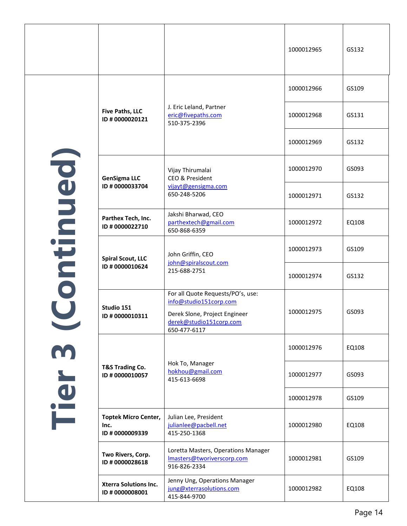|              |                                                       |                                                                                                                                         | 1000012965 | GS132 |
|--------------|-------------------------------------------------------|-----------------------------------------------------------------------------------------------------------------------------------------|------------|-------|
|              |                                                       |                                                                                                                                         | 1000012966 | GS109 |
|              | <b>Five Paths, LLC</b><br>ID # 0000020121             | J. Eric Leland, Partner<br>eric@fivepaths.com<br>510-375-2396                                                                           | 1000012968 | GS131 |
|              |                                                       |                                                                                                                                         | 1000012969 | GS132 |
|              | <b>GenSigma LLC</b>                                   | Vijay Thirumalai<br>CEO & President                                                                                                     | 1000012970 | GS093 |
|              | ID #0000033704                                        | vijayt@gensigma.com<br>650-248-5206                                                                                                     | 1000012971 | GS132 |
| Coordination | Parthex Tech, Inc.<br>ID # 0000022710                 | Jakshi Bharwad, CEO<br>parthextech@gmail.com<br>650-868-6359                                                                            | 1000012972 | EQ108 |
|              | <b>Spiral Scout, LLC</b><br>ID #0000010624            | John Griffin, CEO<br>john@spiralscout.com<br>215-688-2751                                                                               | 1000012973 | GS109 |
|              |                                                       |                                                                                                                                         | 1000012974 | GS132 |
|              | Studio 151<br>ID # 0000010311                         | For all Quote Requests/PO's, use:<br>info@studio151corp.com<br>Derek Slone, Project Engineer<br>derek@studio151corp.com<br>650-477-6117 | 1000012975 | GS093 |
| m            |                                                       |                                                                                                                                         | 1000012976 | EQ108 |
| Tier         | <b>T&amp;S Trading Co.</b><br>ID # 0000010057         | Hok To, Manager<br>hokhou@gmail.com<br>415-613-6698                                                                                     | 1000012977 | GS093 |
|              |                                                       |                                                                                                                                         | 1000012978 | GS109 |
|              | <b>Toptek Micro Center,</b><br>Inc.<br>ID #0000009339 | Julian Lee, President<br>julianlee@pacbell.net<br>415-250-1368                                                                          | 1000012980 | EQ108 |
|              | Two Rivers, Corp.<br>ID # 0000028618                  | Loretta Masters, Operations Manager<br>Imasters@tworiverscorp.com<br>916-826-2334                                                       | 1000012981 | GS109 |
|              | <b>Xterra Solutions Inc.</b><br>ID #0000008001        | Jenny Ung, Operations Manager<br>jung@xterrasolutions.com<br>415-844-9700                                                               | 1000012982 | EQ108 |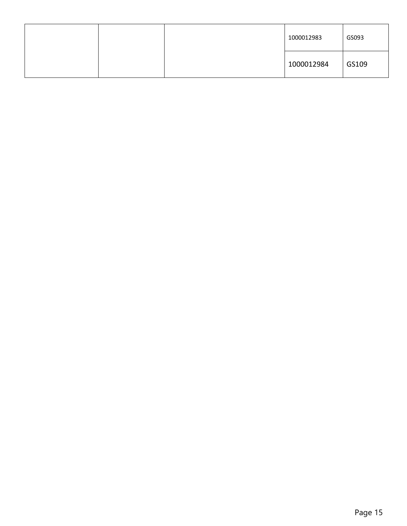<span id="page-24-0"></span>

|  | 1000012983 | GS093 |
|--|------------|-------|
|  | 1000012984 | GS109 |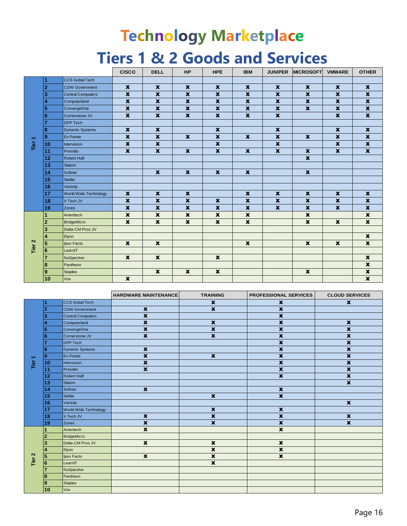# **Technology Marketplace Tiers 1 & 2 Goods and Services**

|                   |                  |                          | <b>CISCO</b>            | <b>DELL</b>               | <b>HP</b>                 | <b>HPE</b>                | <b>IBM</b>                | <b>JUNIPER</b>            | <b>MICROSOFT</b>          | <b>VMWARE</b>             | <b>OTHER</b>              |
|-------------------|------------------|--------------------------|-------------------------|---------------------------|---------------------------|---------------------------|---------------------------|---------------------------|---------------------------|---------------------------|---------------------------|
|                   | 4                | <b>CCS Gobal Tech</b>    |                         |                           |                           |                           |                           |                           |                           |                           |                           |
|                   | $\overline{2}$   | <b>CDW Government</b>    | $\mathbf{x}$            | $\mathbf x$               | $\mathbf{x}$              | $\mathbf x$               | $\mathbf x$               | $\mathbf x$               | $\mathbf x$               | $\mathbf x$               | $\mathbf x$               |
|                   | 3                | <b>Central Computers</b> | $\mathbf x$             | $\mathbf x$               | $\mathbf x$               | $\mathbf x$               | $\mathbf x$               | $\boldsymbol{x}$          | $\boldsymbol{\mathsf{X}}$ | $\boldsymbol{x}$          | $\pmb{\mathsf{x}}$        |
|                   | $\boldsymbol{4}$ | Computerland             | $\mathbf x$             | $\mathbf x$               | $\mathbf x$               | $\mathbf x$               | $\mathbf x$               | $\mathbf x$               | $\mathbf{x}$              | $\boldsymbol{x}$          | $\overline{\textbf{x}}$   |
|                   | 5                | ConvergeOne              | $\mathbf x$             | $\mathbf x$               | $\mathbf{x}$              | $\boldsymbol{x}$          | $\mathbf x$               | $\mathbf x$               | $\mathbf x$               | $\boldsymbol{x}$          | $\pmb{\mathsf{x}}$        |
|                   | 6                | Cornerstone JV           | $\pmb{\mathsf{x}}$      | $\mathbf x$               | $\mathbf{x}$              | $\mathbf x$               | $\mathbf x$               | $\mathbf x$               |                           | $\boldsymbol{\mathsf{X}}$ | $\mathbf{x}$              |
|                   |                  | <b>DPP Tech</b>          |                         |                           |                           |                           |                           |                           |                           |                           |                           |
|                   | 8                | <b>Dynamic Systems</b>   | $\mathbf x$             | $\mathbf x$               |                           | $\boldsymbol{\mathsf{x}}$ |                           | $\mathbf x$               |                           | $\boldsymbol{x}$          | $\mathbf x$               |
| Tier <sub>1</sub> | 9                | En Pointe                | $\boldsymbol{x}$        | $\boldsymbol{x}$          | $\mathbf{x}$              | $\boldsymbol{x}$          | $\mathbf x$               | $\boldsymbol{x}$          | $\mathbf x$               | $\boldsymbol{x}$          | $\boldsymbol{x}$          |
|                   | 10               | Intervision              | $\overline{\mathbf{x}}$ | $\overline{\mathbf{x}}$   |                           | $\overline{\mathbf{x}}$   |                           | $\mathbf x$               |                           | $\mathbf x$               | $\pmb{\mathsf{x}}$        |
|                   | 11               | Presidio                 | $\mathbf x$             | $\mathbf x$               | $\mathbf{x}$              | $\mathbf x$               | $\mathbf x$               | $\boldsymbol{x}$          | $\mathbf x$               | $\mathbf x$               | $\mathbf x$               |
|                   | 12               | <b>Robert Half</b>       |                         |                           |                           |                           |                           |                           | $\pmb{\mathsf{x}}$        |                           |                           |
|                   | 13               | Slalom                   |                         |                           |                           |                           |                           |                           |                           |                           |                           |
|                   | 14               | Softnet                  |                         | $\mathbf{x}$              | $\pmb{\mathsf{x}}$        | $\boldsymbol{\mathsf{x}}$ | $\boldsymbol{\mathsf{x}}$ |                           | $\pmb{\mathsf{x}}$        |                           |                           |
|                   | 15               | Stellar                  |                         |                           |                           |                           |                           |                           |                           |                           |                           |
|                   | 16               | Variedy                  |                         |                           |                           |                           |                           |                           |                           |                           |                           |
|                   | 17               | World Wide Technology    | $\boldsymbol{x}$        | $\mathbf x$               | $\mathbf x$               |                           | $\mathbf x$               | $\mathbf x$               | $\mathbf x$               | $\mathbf x$               | $\mathbf x$               |
|                   | 18               | X Tech JV                | $\mathbf x$             | $\mathbf x$               | $\boldsymbol{\mathsf{X}}$ | $\mathbf x$               | $\mathbf x$               | $\mathbf x$               | $\mathbf x$               | $\boldsymbol{x}$          | $\pmb{\mathsf{x}}$        |
|                   | 19               | Zones                    | $\boldsymbol{x}$        | $\mathbf x$               | $\pmb{\chi}$              | $\boldsymbol{\mathsf{X}}$ | $\boldsymbol{\mathsf{X}}$ | $\boldsymbol{\mathsf{x}}$ | $\boldsymbol{\mathsf{X}}$ | $\boldsymbol{x}$          | $\boldsymbol{\mathsf{X}}$ |
|                   |                  | Ameritech                | $\mathbf x$             | $\mathbf x$               | $\mathbf x$               | $\mathbf x$               | $\mathbf x$               |                           | $\mathbf x$               |                           | $\pmb{\mathsf{x}}$        |
|                   | $\overline{2}$   | <b>BridgeMicro</b>       | $\boldsymbol{x}$        | $\mathbf x$               | $\mathbf{x}$              | $\boldsymbol{x}$          | $\boldsymbol{x}$          |                           | $\mathbf x$               | $\boldsymbol{x}$          | $\mathbf x$               |
|                   | 3                | Delta-CM Pros JV         |                         |                           |                           |                           |                           |                           |                           |                           |                           |
|                   | 4                | Elyon                    |                         |                           |                           |                           |                           |                           |                           |                           | $\mathbf x$               |
| Tier <sub>2</sub> | 5                | Ipso Facto               | $\mathbf{x}$            | $\mathbf x$               |                           |                           | $\boldsymbol{\mathsf{x}}$ |                           | $\boldsymbol{\mathsf{X}}$ | $\mathbf x$               | $\pmb{\mathsf{x}}$        |
|                   | 6                | LearnIT                  |                         |                           |                           |                           |                           |                           |                           |                           |                           |
|                   | $\overline{7}$   | <b>NuSpective</b>        | $\mathbf{x}$            | $\mathbf{x}$              |                           | $\mathbf x$               |                           |                           |                           |                           | $\mathbf{x}$              |
|                   | 8                | Pantheon                 |                         |                           |                           |                           |                           |                           |                           |                           | $\pmb{\mathsf{x}}$        |
|                   | 9                | <b>Staples</b>           |                         | $\boldsymbol{\mathsf{x}}$ | $\mathbf x$               | $\pmb{\mathsf{x}}$        |                           |                           | $\pmb{\mathsf{x}}$        |                           | $\pmb{\mathsf{x}}$        |
|                   | 10               | Vox                      | $\boldsymbol{x}$        |                           |                           |                           |                           |                           |                           |                           | $\boldsymbol{x}$          |

|                   |                |                          | <b>HARDWARE MAINTENANCE</b> | <b>TRAINING</b>           | <b>PROFESSIONAL SERVICES</b> | <b>CLOUD SERVICES</b>     |
|-------------------|----------------|--------------------------|-----------------------------|---------------------------|------------------------------|---------------------------|
|                   |                | <b>CCS Gobal Tech</b>    |                             | $\mathbf x$               | $\mathbf x$                  | $\mathbf x$               |
|                   | $\overline{2}$ | <b>CDW Government</b>    | $\mathbf x$                 | $\boldsymbol{\mathsf{x}}$ | $\mathbf x$                  |                           |
|                   | 3              | <b>Central Computers</b> | $\overline{\mathbf{x}}$     |                           | $\mathbf x$                  |                           |
|                   | Δ              | Computerland             | $\mathbf x$                 | $\boldsymbol{\mathsf{x}}$ | $\mathbf x$                  | $\mathbf x$               |
|                   | 5              | ConvergeOne              | $\mathbf x$                 | $\pmb{\mathsf{x}}$        | $\pmb{\mathsf{x}}$           | $\boldsymbol{\mathsf{x}}$ |
|                   | 6              | Cornerstone JV           | $\mathbf x$                 | $\overline{\mathbf{x}}$   | $\pmb{\mathsf{x}}$           | $\boldsymbol{\mathsf{x}}$ |
|                   |                | <b>DPP</b> Tech          |                             |                           | $\boldsymbol{\mathsf{x}}$    | $\boldsymbol{\mathsf{x}}$ |
|                   | 8              | <b>Dynamic Systems</b>   | $\mathbf x$                 |                           | $\boldsymbol{\mathsf{X}}$    | $\boldsymbol{\mathsf{x}}$ |
|                   | $\overline{9}$ | En Pointe                | $\mathbf x$                 | $\boldsymbol{\mathsf{x}}$ | $\boldsymbol{\mathsf{x}}$    | $\boldsymbol{\mathsf{x}}$ |
| Tier <sub>1</sub> | 10             | Intervision              | $\mathbf x$                 |                           | $\overline{\mathbf{x}}$      | $\boldsymbol{x}$          |
|                   | 11             | Presidio                 | $\mathbf x$                 |                           | $\pmb{\mathsf{x}}$           | $\boldsymbol{\mathsf{X}}$ |
|                   | 12             | Robert Half              |                             |                           | $\pmb{\mathsf{x}}$           | $\boldsymbol{\mathsf{x}}$ |
|                   | 13             | Slalom                   |                             |                           |                              | $\boldsymbol{\mathsf{x}}$ |
|                   | 14             | Softnet                  | $\mathbf x$                 |                           | $\mathbf x$                  |                           |
|                   | 15             | Stellar                  |                             | $\mathbf x$               | $\mathbf x$                  |                           |
|                   | 16             | Variedy                  |                             |                           |                              | $\boldsymbol{\mathsf{x}}$ |
|                   | 17             | World Wide Technology    |                             | $\pmb{\mathsf{x}}$        | $\pmb{\mathsf{x}}$           |                           |
|                   | 18             | X Tech JV                | $\boldsymbol{\mathsf{x}}$   | $\boldsymbol{\mathsf{x}}$ | $\mathbf x$                  | $\boldsymbol{\mathsf{x}}$ |
|                   | 19             | Zones                    | $\overline{\mathbf{x}}$     | $\overline{\mathbf{x}}$   | $\overline{\mathbf{x}}$      | $\overline{\mathbf{x}}$   |
|                   |                | Ameritech                | $\mathbf x$                 |                           | $\mathbf x$                  |                           |
|                   | 2              | <b>BridgeMicro</b>       |                             |                           |                              |                           |
|                   | 3              | Delta-CM Pros JV         | $\mathbf x$                 | $\mathbf x$               | $\boldsymbol{\mathsf{x}}$    |                           |
|                   | 4              | Elyon                    |                             | $\mathbf x$               | $\pmb{\mathsf{x}}$           |                           |
| Tier <sub>2</sub> | 5              | Ipso Facto               | $\mathbf x$                 | $\mathbf x$               | $\pmb{\mathsf{x}}$           |                           |
|                   | 6              | LearnIT                  |                             | $\mathbf x$               |                              |                           |
|                   | $\overline{7}$ | NuSpective               |                             |                           |                              |                           |
|                   | 8              | Pantheon                 |                             |                           |                              |                           |
|                   | 9              | <b>Staples</b>           |                             |                           |                              |                           |
|                   | 10             | <b>Vox</b>               |                             |                           |                              |                           |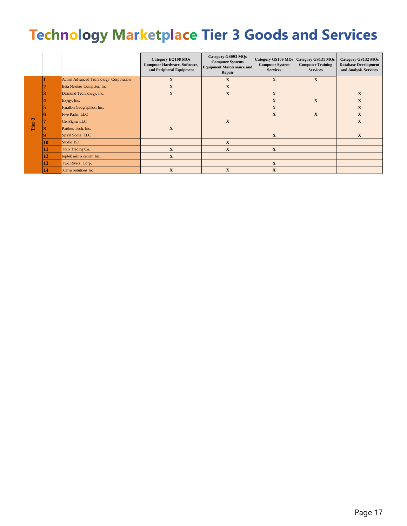# **Technology Marketplace Tier 3 Goods and Services**

|              |    |                                        | <b>Category EQ108 MQs</b><br>Computer Hardware, Software,<br>and Peripheral Equipment | Category GS093 MQs<br><b>Computer Systems</b><br><b>Equipment Maintenance and</b><br>Repair | Category GS109 MQs   Category GS131 MQs<br><b>Computer System</b><br><b>Services</b> | <b>Computer Training</b><br><b>Services</b> | Category GS132 MQs<br><b>Database Development</b><br>and Analysis Services |
|--------------|----|----------------------------------------|---------------------------------------------------------------------------------------|---------------------------------------------------------------------------------------------|--------------------------------------------------------------------------------------|---------------------------------------------|----------------------------------------------------------------------------|
|              |    | Actnet Advanced Technology Corporation | $\mathbf X$                                                                           | $\mathbf X$                                                                                 | $\mathbf X$                                                                          | $\mathbf X$                                 |                                                                            |
|              |    | Beta Nineties Computer, Inc.           | X                                                                                     | $\mathbf X$                                                                                 |                                                                                      |                                             |                                                                            |
|              |    | Diamond Technology, Inc.               | X                                                                                     | X                                                                                           | X                                                                                    |                                             | $\mathbf{X}$                                                               |
|              |    | Exygy, Inc.                            |                                                                                       |                                                                                             | $\mathbf X$                                                                          | X                                           | $\mathbf{X}$                                                               |
|              |    | Farallon Geographics, Inc.             |                                                                                       |                                                                                             | X                                                                                    |                                             | $\mathbf{X}$                                                               |
|              |    | Five Paths, LLC                        |                                                                                       |                                                                                             | $\mathbf{X}$                                                                         | X                                           | X                                                                          |
| $\mathbf{r}$ |    | GenSigma LLC                           |                                                                                       | X                                                                                           |                                                                                      |                                             | $\mathbf{X}$                                                               |
| Tier         |    | Parthex Tech, Inc.                     | $\mathbf X$                                                                           |                                                                                             |                                                                                      |                                             |                                                                            |
|              |    | Spiral Scout, LLC                      |                                                                                       |                                                                                             | $\mathbf X$                                                                          |                                             | $\mathbf X$                                                                |
|              | 10 | Studio 151                             |                                                                                       | X                                                                                           |                                                                                      |                                             |                                                                            |
|              | 11 | T&S Trading Co.                        | X                                                                                     | X                                                                                           | X                                                                                    |                                             |                                                                            |
|              | 12 | toptek micro center, Inc.              | $\mathbf X$                                                                           |                                                                                             |                                                                                      |                                             |                                                                            |
|              | 13 | Two Rivers, Corp.                      |                                                                                       |                                                                                             | $\mathbf{X}$                                                                         |                                             |                                                                            |
|              | 14 | Xterra Solutions Inc.                  | X                                                                                     | X                                                                                           | X                                                                                    |                                             |                                                                            |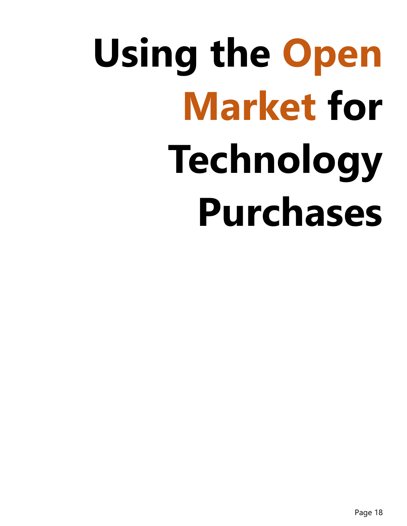# **Using the Open Market for Technology Purchases**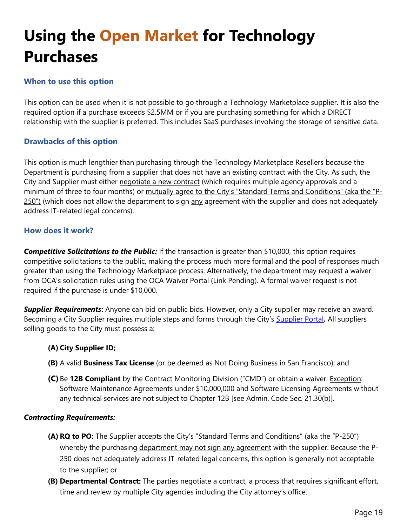# <span id="page-28-0"></span>**Using the Open Market for Technology Purchases**

# <span id="page-28-1"></span>**When to use this option**

This option can be used when it is not possible to go through a Technology Marketplace supplier. It is also the required option if a purchase exceeds \$2.5MM or if you are purchasing something for which a DIRECT relationship with the supplier is preferred. This includes SaaS purchases involving the storage of sensitive data.

# <span id="page-28-2"></span>**Drawbacks of this option**

This option is much lengthier than purchasing through the Technology Marketplace Resellers because the Department is purchasing from a supplier that does not have an existing contract with the City. As such, the City and Supplier must either negotiate a new contract (which requires multiple agency approvals and a minimum of three to four months) or mutually agree to the City's "Standard Terms and Conditions" (aka the "P- $250$ ") (which does not allow the department to sign  $\frac{any}{any}$  agreement with the supplier and does not adequately address IT-related legal concerns).

# <span id="page-28-3"></span>**How does it work?**

*Competitive Solicitations to the Public:* If the transaction is greater than \$10,000, this option requires competitive solicitations to the public, making the process much more formal and the pool of responses much greater than using the Technology Marketplace process. Alternatively, the department may request a waiver from OCA's solicitation rules using the OCA Waiver Portal (Link Pending). A formal waiver request is not required if the purchase is under \$10,000.

*Supplier Requirements***:** Anyone can bid on public bids. However, only a City supplier may receive an award. Becoming a City Supplier requires multiple steps and forms through the City's [Supplier Portal](https://sfcitypartner.sfgov.org/)**.** All suppliers selling goods to the City must possess a:

# **(A) City Supplier ID;**

- **(B)** A valid **Business Tax License** (or be deemed as Not Doing Business in San Francisco); and
- **(C)** Be **12B Compliant** by the Contract Monitoring Division ("CMD") or obtain a waiver. Exception: Software Maintenance Agreements under \$10,000,000 and Software Licensing Agreements without any technical services are not subject to Chapter 12B [see Admin. Code Sec. 21.30(b)].

# *Contracting Requirements:*

- **(A) RQ to PO:** The Supplier accepts the City's "Standard Terms and Conditions" (aka the "P-250") whereby the purchasing department may not sign any agreement with the supplier. Because the P-250 does not adequately address IT-related legal concerns, this option is generally not acceptable to the supplier; or
- **(B) Departmental Contract:** The parties negotiate a contract, a process that requires significant effort, time and review by multiple City agencies including the City attorney's office.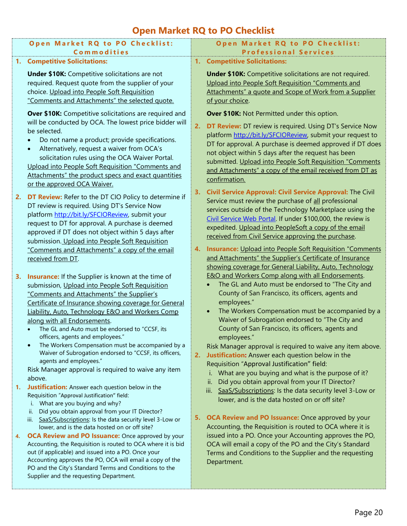# **Open Market RQ to PO Checklist**

<span id="page-29-0"></span>

| Open Market RQ to PO Checklist:                                                                                 | Open Market RQ to PO Checklist:                                                                                          |
|-----------------------------------------------------------------------------------------------------------------|--------------------------------------------------------------------------------------------------------------------------|
| <b>Commodities</b>                                                                                              | <b>Professional Services</b>                                                                                             |
| <b>Competitive Solicitations:</b><br>1.                                                                         | 1. Competitive Solicitations:                                                                                            |
| <b>Under \$10K:</b> Competitive solicitations are not                                                           | <b>Under \$10K:</b> Competitive solicitations are not required.                                                          |
| required. Request quote from the supplier of your                                                               | Upload into People Soft Requisition "Comments and                                                                        |
| choice. Upload into People Soft Requisition                                                                     | Attachments" a quote and Scope of Work from a Supplier                                                                   |
| "Comments and Attachments" the selected quote.                                                                  | of your choice.                                                                                                          |
| Over \$10K: Competitive solicitations are required and                                                          | Over \$10K: Not Permitted under this option.                                                                             |
| will be conducted by OCA. The lowest price bidder will                                                          |                                                                                                                          |
| be selected.                                                                                                    | <b>DT Review:</b> DT review is required. Using DT's Service Now<br>2.                                                    |
| Do not name a product; provide specifications.                                                                  | platform http://bit.ly/SFCIOReview, submit your request to                                                               |
| Alternatively, request a waiver from OCA's                                                                      | DT for approval. A purchase is deemed approved if DT does                                                                |
| solicitation rules using the OCA Waiver Portal.                                                                 | not object within 5 days after the request has been<br>submitted. Upload into People Soft Requisition "Comments          |
| Upload into People Soft Requisition "Comments and                                                               | and Attachments" a copy of the email received from DT as                                                                 |
| Attachments" the product specs and exact quantities                                                             | confirmation.                                                                                                            |
| or the approved OCA Waiver.                                                                                     |                                                                                                                          |
| DT Review: Refer to the DT CIO Policy to determine if<br>2.                                                     | 3. Civil Service Approval: Civil Service Approval: The Civil                                                             |
| DT review is required. Using DT's Service Now                                                                   | Service must review the purchase of all professional                                                                     |
| platform http://bit.ly/SFCIOReview, submit your                                                                 | services outside of the Technology Marketplace using the<br>Civil Service Web Portal. If under \$100,000, the review is  |
| request to DT for approval. A purchase is deemed                                                                | expedited. Upload into PeopleSoft a copy of the email                                                                    |
| approved if DT does not object within 5 days after                                                              | received from Civil Service approving the purchase.                                                                      |
| submission. Upload into People Soft Requisition                                                                 |                                                                                                                          |
| "Comments and Attachments" a copy of the email                                                                  | <b>Insurance:</b> Upload into People Soft Requisition "Comments"<br>4.                                                   |
| received from DT.                                                                                               | and Attachments" the Supplier's Certificate of Insurance                                                                 |
|                                                                                                                 | showing coverage for General Liability, Auto, Technology<br><b>E&amp;O and Workers Comp along with all Endorsements.</b> |
| <b>Insurance:</b> If the Supplier is known at the time of<br>3.                                                 | The GL and Auto must be endorsed to "The City and                                                                        |
| submission, Upload into People Soft Requisition<br>"Comments and Attachments" the Supplier's                    | County of San Francisco, its officers, agents and                                                                        |
| Certificate of Insurance showing coverage for General                                                           | employees."                                                                                                              |
| Liability, Auto, Technology E&O and Workers Comp                                                                | The Workers Compensation must be accompanied by a                                                                        |
| along with all Endorsements.                                                                                    | Waiver of Subrogation endorsed to "The City and                                                                          |
| The GL and Auto must be endorsed to "CCSF, its                                                                  | County of San Francisco, its officers, agents and                                                                        |
| officers, agents and employees."                                                                                | employees."                                                                                                              |
| The Workers Compensation must be accompanied by a                                                               | Risk Manager approval is required to waive any item above.                                                               |
| Waiver of Subrogation endorsed to "CCSF, its officers,                                                          | 2. Justification: Answer each question below in the                                                                      |
| agents and employees."<br>Risk Manager approval is required to waive any item                                   | Requisition "Approval Justification" field:                                                                              |
| above.                                                                                                          | i. What are you buying and what is the purpose of it?                                                                    |
| <b>Justification:</b> Answer each question below in the<br>1.                                                   | Did you obtain approval from your IT Director?<br>ii.                                                                    |
| Requisition "Approval Justification" field:                                                                     | iii. SaaS/Subscriptions: Is the data security level 3-Low or                                                             |
| i. What are you buying and why?                                                                                 | lower, and is the data hosted on or off site?                                                                            |
| Did you obtain approval from your IT Director?<br>П.                                                            |                                                                                                                          |
| iii. SaaS/Subscriptions: Is the data security level 3-Low or                                                    | 5. OCA Review and PO Issuance: Once approved by your<br>Accounting, the Requisition is routed to OCA where it is         |
| lower, and is the data hosted on or off site?<br><b>OCA Review and PO Issuance:</b> Once approved by your<br>4. | issued into a PO. Once your Accounting approves the PO,                                                                  |
| Accounting, the Requisition is routed to OCA where it is bid                                                    | OCA will email a copy of the PO and the City's Standard                                                                  |
| out (if applicable) and issued into a PO. Once your                                                             | Terms and Conditions to the Supplier and the requesting                                                                  |
| Accounting approves the PO, OCA will email a copy of the                                                        | Department.                                                                                                              |
| PO and the City's Standard Terms and Conditions to the                                                          |                                                                                                                          |
| Supplier and the requesting Department.                                                                         |                                                                                                                          |
|                                                                                                                 |                                                                                                                          |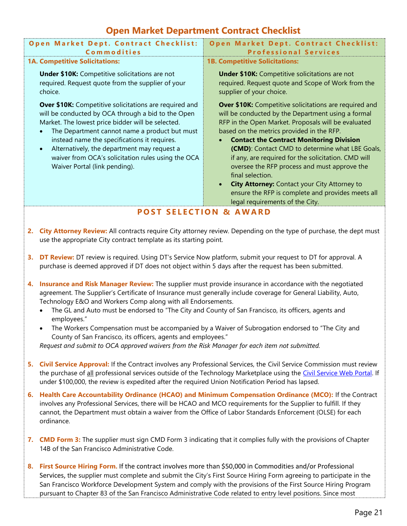# **Open Market Department Contract Checklist**

<span id="page-30-0"></span>

| Open Market Dept. Contract Checklist:<br>Commodities                                                                                                                                                                                                                                                                                                                                                                                                                                                                                                                                                                                                                                                                                                                                                                                                                                                                                                                                                                       | Open Market Dept. Contract Checklist:<br><b>Professional Services</b>                                                                                                                                                                                                                                                                                                                                                                                                                                                                                                                            |  |
|----------------------------------------------------------------------------------------------------------------------------------------------------------------------------------------------------------------------------------------------------------------------------------------------------------------------------------------------------------------------------------------------------------------------------------------------------------------------------------------------------------------------------------------------------------------------------------------------------------------------------------------------------------------------------------------------------------------------------------------------------------------------------------------------------------------------------------------------------------------------------------------------------------------------------------------------------------------------------------------------------------------------------|--------------------------------------------------------------------------------------------------------------------------------------------------------------------------------------------------------------------------------------------------------------------------------------------------------------------------------------------------------------------------------------------------------------------------------------------------------------------------------------------------------------------------------------------------------------------------------------------------|--|
| <b>1A. Competitive Solicitations:</b>                                                                                                                                                                                                                                                                                                                                                                                                                                                                                                                                                                                                                                                                                                                                                                                                                                                                                                                                                                                      | <b>1B. Competitive Solicitations:</b>                                                                                                                                                                                                                                                                                                                                                                                                                                                                                                                                                            |  |
| <b>Under \$10K:</b> Competitive solicitations are not<br>required. Request quote from the supplier of your<br>choice.                                                                                                                                                                                                                                                                                                                                                                                                                                                                                                                                                                                                                                                                                                                                                                                                                                                                                                      | <b>Under \$10K:</b> Competitive solicitations are not<br>required. Request quote and Scope of Work from the<br>supplier of your choice.                                                                                                                                                                                                                                                                                                                                                                                                                                                          |  |
| Over \$10K: Competitive solicitations are required and<br>will be conducted by OCA through a bid to the Open<br>Market. The lowest price bidder will be selected.<br>The Department cannot name a product but must<br>instead name the specifications it requires.<br>Alternatively, the department may request a<br>$\bullet$<br>waiver from OCA's solicitation rules using the OCA<br>Waiver Portal (link pending).                                                                                                                                                                                                                                                                                                                                                                                                                                                                                                                                                                                                      | Over \$10K: Competitive solicitations are required and<br>will be conducted by the Department using a formal<br>RFP in the Open Market. Proposals will be evaluated<br>based on the metrics provided in the RFP.<br><b>Contact the Contract Monitoring Division</b><br>(CMD): Contact CMD to determine what LBE Goals,<br>if any, are required for the solicitation. CMD will<br>oversee the RFP process and must approve the<br>final selection.<br><b>City Attorney: Contact your City Attorney to</b><br>ensure the RFP is complete and provides meets all<br>legal requirements of the City. |  |
|                                                                                                                                                                                                                                                                                                                                                                                                                                                                                                                                                                                                                                                                                                                                                                                                                                                                                                                                                                                                                            | <b>POST SELECTION &amp; AWARD</b>                                                                                                                                                                                                                                                                                                                                                                                                                                                                                                                                                                |  |
|                                                                                                                                                                                                                                                                                                                                                                                                                                                                                                                                                                                                                                                                                                                                                                                                                                                                                                                                                                                                                            |                                                                                                                                                                                                                                                                                                                                                                                                                                                                                                                                                                                                  |  |
| 2. City Attorney Review: All contracts require City attorney review. Depending on the type of purchase, the dept must<br>use the appropriate City contract template as its starting point.<br>DT Review: DT review is required. Using DT's Service Now platform, submit your request to DT for approval. A<br>3.<br>purchase is deemed approved if DT does not object within 5 days after the request has been submitted.<br>Insurance and Risk Manager Review: The supplier must provide insurance in accordance with the negotiated<br>4.<br>agreement. The Supplier's Certificate of Insurance must generally include coverage for General Liability, Auto,<br>Technology E&O and Workers Comp along with all Endorsements.<br>The GL and Auto must be endorsed to "The City and County of San Francisco, its officers, agents and<br>employees."<br>The Workers Compensation must be accompanied by a Waiver of Subrogation endorsed to "The City and<br>County of San Francisco, its officers, agents and employees." |                                                                                                                                                                                                                                                                                                                                                                                                                                                                                                                                                                                                  |  |
| Request and submit to OCA approved waivers from the Risk Manager for each item not submitted.                                                                                                                                                                                                                                                                                                                                                                                                                                                                                                                                                                                                                                                                                                                                                                                                                                                                                                                              |                                                                                                                                                                                                                                                                                                                                                                                                                                                                                                                                                                                                  |  |
| Civil Service Approval: If the Contract involves any Professional Services, the Civil Service Commission must review<br>5.<br>the purchase of all professional services outside of the Technology Marketplace using the Civil Service Web Portal. If<br>under \$100,000, the review is expedited after the required Union Notification Period has lapsed.                                                                                                                                                                                                                                                                                                                                                                                                                                                                                                                                                                                                                                                                  |                                                                                                                                                                                                                                                                                                                                                                                                                                                                                                                                                                                                  |  |
| Health Care Accountability Ordinance (HCAO) and Minimum Compensation Ordinance (MCO): If the Contract<br>6.<br>involves any Professional Services, there will be HCAO and MCO requirements for the Supplier to fulfill. If they<br>cannot, the Department must obtain a waiver from the Office of Labor Standards Enforcement (OLSE) for each<br>ordinance.                                                                                                                                                                                                                                                                                                                                                                                                                                                                                                                                                                                                                                                                |                                                                                                                                                                                                                                                                                                                                                                                                                                                                                                                                                                                                  |  |
| 7. CMD Form 3: The supplier must sign CMD Form 3 indicating that it complies fully with the provisions of Chapter<br>14B of the San Francisco Administrative Code.                                                                                                                                                                                                                                                                                                                                                                                                                                                                                                                                                                                                                                                                                                                                                                                                                                                         |                                                                                                                                                                                                                                                                                                                                                                                                                                                                                                                                                                                                  |  |

**8. First Source Hiring Form.** If the contract involves more than \$50,000 in Commodities and/or Professional Services, the supplier must complete and submit the City's First Source Hiring Form agreeing to participate in the San Francisco Workforce Development System and comply with the provisions of the First Source Hiring Program pursuant to Chapter 83 of the San Francisco Administrative Code related to entry level positions. Since most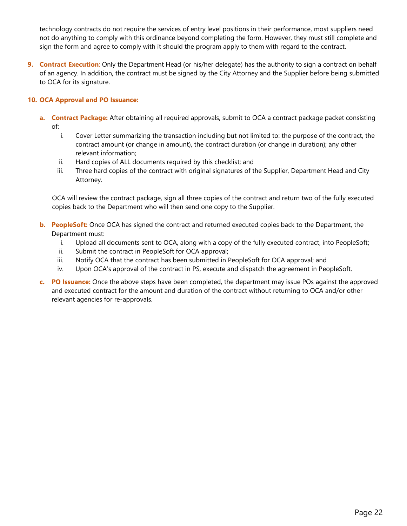technology contracts do not require the services of entry level positions in their performance, most suppliers need not do anything to comply with this ordinance beyond completing the form. However, they must still complete and sign the form and agree to comply with it should the program apply to them with regard to the contract.

**9. Contract Execution**: Only the Department Head (or his/her delegate) has the authority to sign a contract on behalf of an agency. In addition, the contract must be signed by the City Attorney and the Supplier before being submitted to OCA for its signature.

## **10. OCA Approval and PO Issuance:**

- **a. Contract Package:** After obtaining all required approvals, submit to OCA a contract package packet consisting of:
	- i. Cover Letter summarizing the transaction including but not limited to: the purpose of the contract, the contract amount (or change in amount), the contract duration (or change in duration); any other relevant information;
	- ii. Hard copies of ALL documents required by this checklist; and
	- iii. Three hard copies of the contract with original signatures of the Supplier, Department Head and City Attorney.

OCA will review the contract package, sign all three copies of the contract and return two of the fully executed copies back to the Department who will then send one copy to the Supplier.

- **b. PeopleSoft:** Once OCA has signed the contract and returned executed copies back to the Department, the Department must:
	- i. Upload all documents sent to OCA, along with a copy of the fully executed contract, into PeopleSoft;
	- ii. Submit the contract in PeopleSoft for OCA approval;
	- iii. Notify OCA that the contract has been submitted in PeopleSoft for OCA approval; and
	- iv. Upon OCA's approval of the contract in PS, execute and dispatch the agreement in PeopleSoft.
- **c. PO Issuance:** Once the above steps have been completed, the department may issue POs against the approved and executed contract for the amount and duration of the contract without returning to OCA and/or other relevant agencies for re-approvals.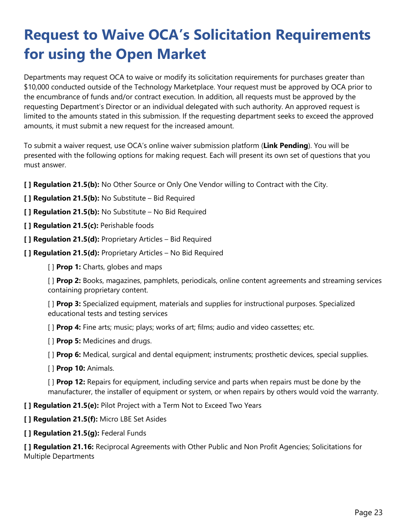# <span id="page-32-0"></span>**Request to Waive OCA's Solicitation Requirements for using the Open Market**

Departments may request OCA to waive or modify its solicitation requirements for purchases greater than \$10,000 conducted outside of the Technology Marketplace. Your request must be approved by OCA prior to the encumbrance of funds and/or contract execution. In addition, all requests must be approved by the requesting Department's Director or an individual delegated with such authority. An approved request is limited to the amounts stated in this submission. If the requesting department seeks to exceed the approved amounts, it must submit a new request for the increased amount.

To submit a waiver request, use OCA's online waiver submission platform (**Link Pending**). You will be presented with the following options for making request. Each will present its own set of questions that you must answer.

**[ ] Regulation 21.5(b):** No Other Source or Only One Vendor willing to Contract with the City.

- **[ ] Regulation 21.5(b):** No Substitute Bid Required
- **[ ] Regulation 21.5(b):** No Substitute No Bid Required
- **[ ] Regulation 21.5(c):** Perishable foods
- **[ ] Regulation 21.5(d):** Proprietary Articles Bid Required
- **[ ] Regulation 21.5(d):** Proprietary Articles No Bid Required
	- [ ] **Prop 1:** Charts, globes and maps

[ ] **Prop 2:** Books, magazines, pamphlets, periodicals, online content agreements and streaming services containing proprietary content.

[ ] **Prop 3:** Specialized equipment, materials and supplies for instructional purposes. Specialized educational tests and testing services

[ ] **Prop 4:** Fine arts; music; plays; works of art; films; audio and video cassettes; etc.

[ ] **Prop 5:** Medicines and drugs.

[ ] **Prop 6:** Medical, surgical and dental equipment; instruments; prosthetic devices, special supplies.

[ ] **Prop 10:** Animals.

[ ] **Prop 12:** Repairs for equipment, including service and parts when repairs must be done by the manufacturer, the installer of equipment or system, or when repairs by others would void the warranty.

**[ ] Regulation 21.5(e):** Pilot Project with a Term Not to Exceed Two Years

- **[ ] Regulation 21.5(f):** Micro LBE Set Asides
- **[ ] Regulation 21.5(g):** Federal Funds

**[ ] Regulation 21.16:** Reciprocal Agreements with Other Public and Non Profit Agencies; Solicitations for Multiple Departments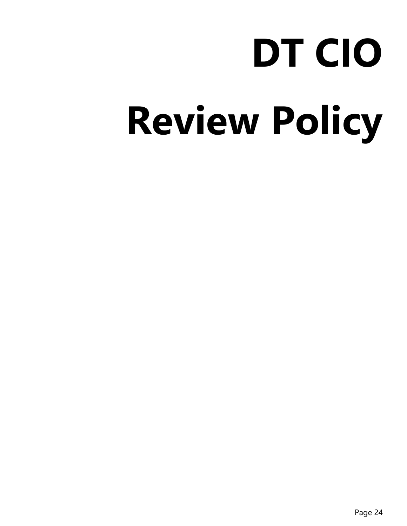# **DT CIO Review Policy**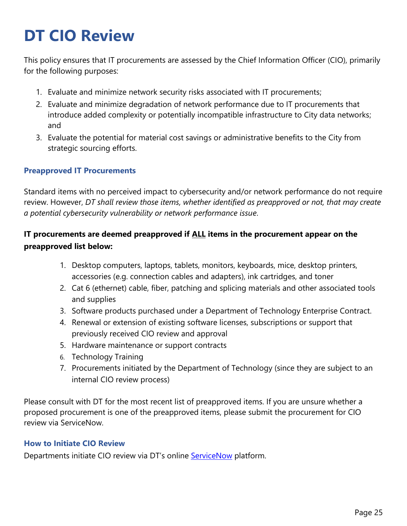# <span id="page-34-0"></span>**DT CIO Review**

This policy ensures that IT procurements are assessed by the Chief Information Officer (CIO), primarily for the following purposes:

- 1. Evaluate and minimize network security risks associated with IT procurements;
- 2. Evaluate and minimize degradation of network performance due to IT procurements that introduce added complexity or potentially incompatible infrastructure to City data networks; and
- 3. Evaluate the potential for material cost savings or administrative benefits to the City from strategic sourcing efforts.

# <span id="page-34-1"></span>**Preapproved IT Procurements**

Standard items with no perceived impact to cybersecurity and/or network performance do not require review. However, *DT shall review those items, whether identified as preapproved or not, that may create a potential cybersecurity vulnerability or network performance issue*.

# **IT procurements are deemed preapproved if ALL items in the procurement appear on the preapproved list below:**

- 1. Desktop computers, laptops, tablets, monitors, keyboards, mice, desktop printers, accessories (e.g. connection cables and adapters), ink cartridges, and toner
- 2. Cat 6 (ethernet) cable, fiber, patching and splicing materials and other associated tools and supplies
- 3. Software products purchased under a Department of Technology Enterprise Contract.
- 4. Renewal or extension of existing software licenses, subscriptions or support that previously received CIO review and approval
- 5. Hardware maintenance or support contracts
- 6. Technology Training
- 7. Procurements initiated by the Department of Technology (since they are subject to an internal CIO review process)

Please consult with DT for the most recent list of preapproved items. If you are unsure whether a proposed procurement is one of the preapproved items, please submit the procurement for CIO review via ServiceNow.

# <span id="page-34-2"></span>**How to Initiate CIO Review**

Departments initiate CIO review via DT's online **ServiceNow** platform.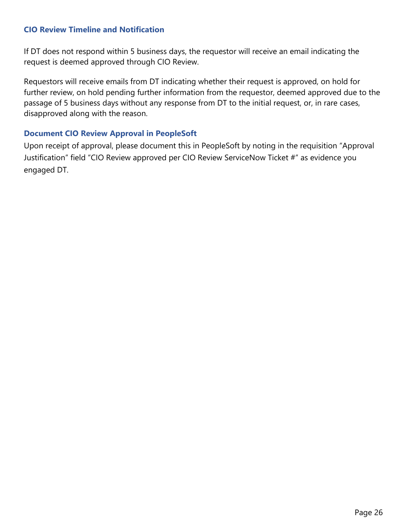# <span id="page-35-0"></span>**CIO Review Timeline and Notification**

If DT does not respond within 5 business days, the requestor will receive an email indicating the request is deemed approved through CIO Review.

Requestors will receive emails from DT indicating whether their request is approved, on hold for further review, on hold pending further information from the requestor, deemed approved due to the passage of 5 business days without any response from DT to the initial request, or, in rare cases, disapproved along with the reason.

# <span id="page-35-1"></span>**Document CIO Review Approval in PeopleSoft**

Upon receipt of approval, please document this in PeopleSoft by noting in the requisition "Approval Justification" field "CIO Review approved per CIO Review ServiceNow Ticket #" as evidence you engaged DT.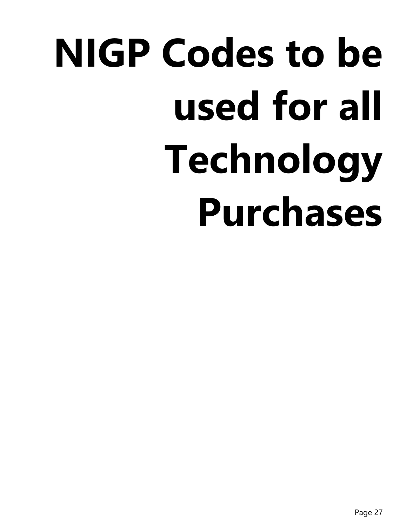# **NIGP Codes to be used for all Technology Purchases**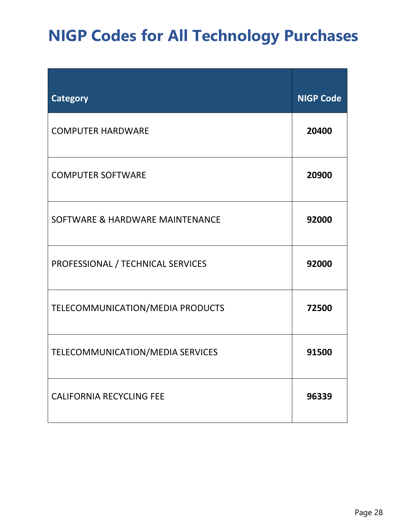# <span id="page-37-0"></span>**NIGP Codes for All Technology Purchases**

| <b>Category</b>                   | <b>NIGP Code</b> |
|-----------------------------------|------------------|
| <b>COMPUTER HARDWARE</b>          | 20400            |
| <b>COMPUTER SOFTWARE</b>          | 20900            |
| SOFTWARE & HARDWARE MAINTENANCE   | 92000            |
| PROFESSIONAL / TECHNICAL SERVICES | 92000            |
| TELECOMMUNICATION/MEDIA PRODUCTS  | 72500            |
| TELECOMMUNICATION/MEDIA SERVICES  | 91500            |
| <b>CALIFORNIA RECYCLING FEE</b>   | 96339            |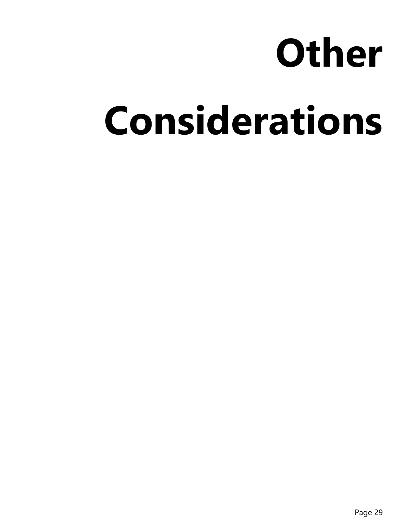# **Other**

# **Considerations**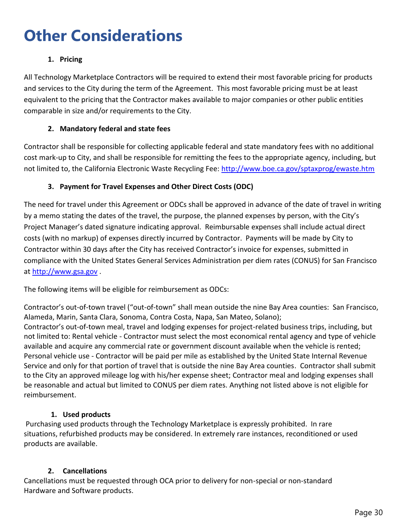# <span id="page-39-0"></span>**Other Considerations**

# **1. Pricing**

All Technology Marketplace Contractors will be required to extend their most favorable pricing for products and services to the City during the term of the Agreement. This most favorable pricing must be at least equivalent to the pricing that the Contractor makes available to major companies or other public entities comparable in size and/or requirements to the City.

# **2. Mandatory federal and state fees**

Contractor shall be responsible for collecting applicable federal and state mandatory fees with no additional cost mark-up to City, and shall be responsible for remitting the fees to the appropriate agency, including, but not limited to, the California Electronic Waste Recycling Fee:<http://www.boe.ca.gov/sptaxprog/ewaste.htm>

# **3. Payment for Travel Expenses and Other Direct Costs (ODC)**

The need for travel under this Agreement or ODCs shall be approved in advance of the date of travel in writing by a memo stating the dates of the travel, the purpose, the planned expenses by person, with the City's Project Manager's dated signature indicating approval. Reimbursable expenses shall include actual direct costs (with no markup) of expenses directly incurred by Contractor. Payments will be made by City to Contractor within 30 days after the City has received Contractor's invoice for expenses, submitted in compliance with the United States General Services Administration per diem rates (CONUS) for San Francisco at [http://www.gsa.gov](http://www.gsa.gov/) .

The following items will be eligible for reimbursement as ODCs:

Contractor's out-of-town travel ("out-of-town" shall mean outside the nine Bay Area counties: San Francisco, Alameda, Marin, Santa Clara, Sonoma, Contra Costa, Napa, San Mateo, Solano); Contractor's out-of-town meal, travel and lodging expenses for project-related business trips, including, but not limited to: Rental vehicle - Contractor must select the most economical rental agency and type of vehicle available and acquire any commercial rate or government discount available when the vehicle is rented; Personal vehicle use - Contractor will be paid per mile as established by the United State Internal Revenue Service and only for that portion of travel that is outside the nine Bay Area counties. Contractor shall submit to the City an approved mileage log with his/her expense sheet; Contractor meal and lodging expenses shall be reasonable and actual but limited to CONUS per diem rates. Anything not listed above is not eligible for reimbursement.

# **1. Used products**

Purchasing used products through the Technology Marketplace is expressly prohibited. In rare situations, refurbished products may be considered. In extremely rare instances, reconditioned or used products are available.

# **2. Cancellations**

Cancellations must be requested through OCA prior to delivery for non-special or non-standard Hardware and Software products.